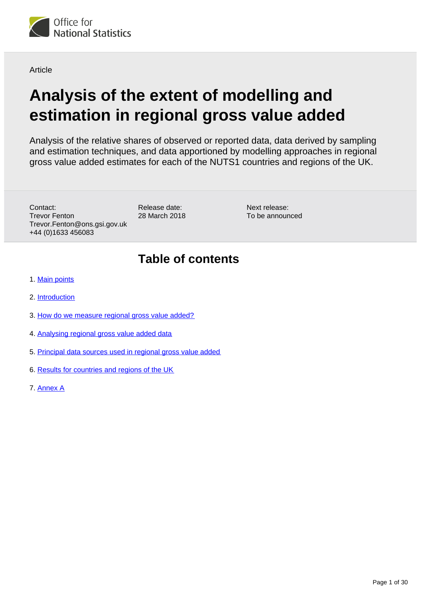

**Article** 

# **Analysis of the extent of modelling and estimation in regional gross value added**

Analysis of the relative shares of observed or reported data, data derived by sampling and estimation techniques, and data apportioned by modelling approaches in regional gross value added estimates for each of the NUTS1 countries and regions of the UK.

Contact: Trevor Fenton Trevor.Fenton@ons.gsi.gov.uk +44 (0)1633 456083

Release date: 28 March 2018

Next release: To be announced

## **Table of contents**

- 1. [Main points](#page-1-0)
- 2. [Introduction](#page-1-1)
- 3. [How do we measure regional gross value added?](#page-1-2)
- 4. [Analysing regional gross value added data](#page-2-0)
- 5. [Principal data sources used in regional gross value added](#page-3-0)
- 6. [Results for countries and regions of the UK](#page-10-0)
- 7. [Annex A](#page-17-0)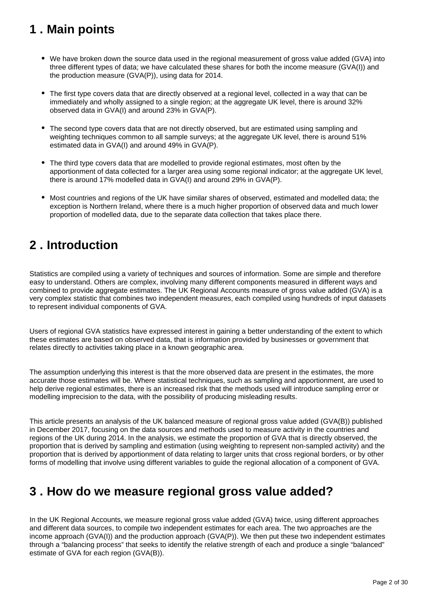## <span id="page-1-0"></span>**1 . Main points**

- We have broken down the source data used in the regional measurement of gross value added (GVA) into three different types of data; we have calculated these shares for both the income measure (GVA(I)) and the production measure (GVA(P)), using data for 2014.
- The first type covers data that are directly observed at a regional level, collected in a way that can be immediately and wholly assigned to a single region; at the aggregate UK level, there is around 32% observed data in GVA(I) and around 23% in GVA(P).
- The second type covers data that are not directly observed, but are estimated using sampling and weighting techniques common to all sample surveys; at the aggregate UK level, there is around 51% estimated data in GVA(I) and around 49% in GVA(P).
- The third type covers data that are modelled to provide regional estimates, most often by the apportionment of data collected for a larger area using some regional indicator; at the aggregate UK level, there is around 17% modelled data in GVA(I) and around 29% in GVA(P).
- Most countries and regions of the UK have similar shares of observed, estimated and modelled data; the exception is Northern Ireland, where there is a much higher proportion of observed data and much lower proportion of modelled data, due to the separate data collection that takes place there.

## <span id="page-1-1"></span>**2 . Introduction**

Statistics are compiled using a variety of techniques and sources of information. Some are simple and therefore easy to understand. Others are complex, involving many different components measured in different ways and combined to provide aggregate estimates. The UK Regional Accounts measure of gross value added (GVA) is a very complex statistic that combines two independent measures, each compiled using hundreds of input datasets to represent individual components of GVA.

Users of regional GVA statistics have expressed interest in gaining a better understanding of the extent to which these estimates are based on observed data, that is information provided by businesses or government that relates directly to activities taking place in a known geographic area.

The assumption underlying this interest is that the more observed data are present in the estimates, the more accurate those estimates will be. Where statistical techniques, such as sampling and apportionment, are used to help derive regional estimates, there is an increased risk that the methods used will introduce sampling error or modelling imprecision to the data, with the possibility of producing misleading results.

This article presents an analysis of the UK balanced measure of regional gross value added (GVA(B)) published in December 2017, focusing on the data sources and methods used to measure activity in the countries and regions of the UK during 2014. In the analysis, we estimate the proportion of GVA that is directly observed, the proportion that is derived by sampling and estimation (using weighting to represent non-sampled activity) and the proportion that is derived by apportionment of data relating to larger units that cross regional borders, or by other forms of modelling that involve using different variables to guide the regional allocation of a component of GVA.

## <span id="page-1-2"></span>**3 . How do we measure regional gross value added?**

In the UK Regional Accounts, we measure regional gross value added (GVA) twice, using different approaches and different data sources, to compile two independent estimates for each area. The two approaches are the income approach (GVA(I)) and the production approach (GVA(P)). We then put these two independent estimates through a "balancing process" that seeks to identify the relative strength of each and produce a single "balanced" estimate of GVA for each region (GVA(B)).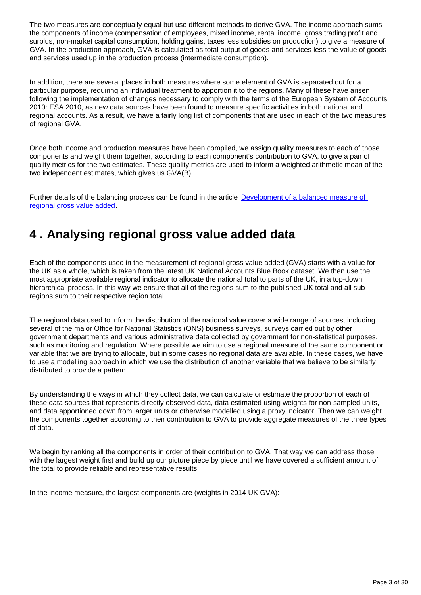The two measures are conceptually equal but use different methods to derive GVA. The income approach sums the components of income (compensation of employees, mixed income, rental income, gross trading profit and surplus, non-market capital consumption, holding gains, taxes less subsidies on production) to give a measure of GVA. In the production approach, GVA is calculated as total output of goods and services less the value of goods and services used up in the production process (intermediate consumption).

In addition, there are several places in both measures where some element of GVA is separated out for a particular purpose, requiring an individual treatment to apportion it to the regions. Many of these have arisen following the implementation of changes necessary to comply with the terms of the European System of Accounts 2010: ESA 2010, as new data sources have been found to measure specific activities in both national and regional accounts. As a result, we have a fairly long list of components that are used in each of the two measures of regional GVA.

Once both income and production measures have been compiled, we assign quality measures to each of those components and weight them together, according to each component's contribution to GVA, to give a pair of quality metrics for the two estimates. These quality metrics are used to inform a weighted arithmetic mean of the two independent estimates, which gives us GVA(B).

Further details of the balancing process can be found in the article Development of a balanced measure of [regional gross value added](https://consultations.ons.gov.uk/national-accounts/consultation-on-balanced-estimates-of-regional-gva/supporting_documents/Development%20of%20a%20balanced%20measure%20of%20regional%20gross%20value%20added.pdf).

## <span id="page-2-0"></span>**4 . Analysing regional gross value added data**

Each of the components used in the measurement of regional gross value added (GVA) starts with a value for the UK as a whole, which is taken from the latest UK National Accounts Blue Book dataset. We then use the most appropriate available regional indicator to allocate the national total to parts of the UK, in a top-down hierarchical process. In this way we ensure that all of the regions sum to the published UK total and all subregions sum to their respective region total.

The regional data used to inform the distribution of the national value cover a wide range of sources, including several of the major Office for National Statistics (ONS) business surveys, surveys carried out by other government departments and various administrative data collected by government for non-statistical purposes, such as monitoring and regulation. Where possible we aim to use a regional measure of the same component or variable that we are trying to allocate, but in some cases no regional data are available. In these cases, we have to use a modelling approach in which we use the distribution of another variable that we believe to be similarly distributed to provide a pattern.

By understanding the ways in which they collect data, we can calculate or estimate the proportion of each of these data sources that represents directly observed data, data estimated using weights for non-sampled units, and data apportioned down from larger units or otherwise modelled using a proxy indicator. Then we can weight the components together according to their contribution to GVA to provide aggregate measures of the three types of data.

We begin by ranking all the components in order of their contribution to GVA. That way we can address those with the largest weight first and build up our picture piece by piece until we have covered a sufficient amount of the total to provide reliable and representative results.

In the income measure, the largest components are (weights in 2014 UK GVA):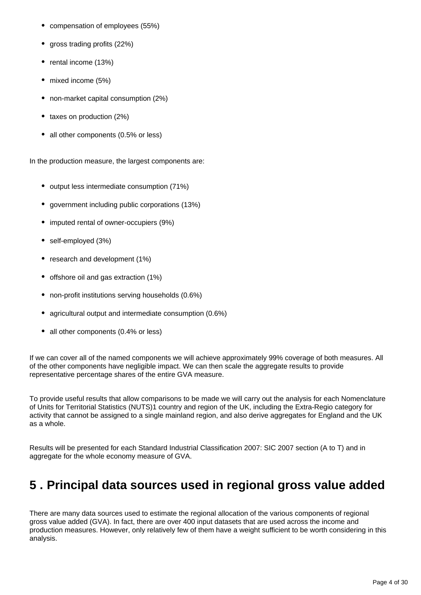- compensation of employees (55%)
- gross trading profits (22%)
- rental income (13%)
- mixed income (5%)  $\bullet$
- non-market capital consumption (2%)
- taxes on production (2%)
- all other components (0.5% or less)

In the production measure, the largest components are:

- output less intermediate consumption (71%)
- government including public corporations (13%)
- imputed rental of owner-occupiers (9%)
- self-employed (3%)
- research and development (1%)
- offshore oil and gas extraction (1%)
- non-profit institutions serving households (0.6%)
- agricultural output and intermediate consumption (0.6%)
- all other components (0.4% or less)

If we can cover all of the named components we will achieve approximately 99% coverage of both measures. All of the other components have negligible impact. We can then scale the aggregate results to provide representative percentage shares of the entire GVA measure.

To provide useful results that allow comparisons to be made we will carry out the analysis for each Nomenclature of Units for Territorial Statistics (NUTS)1 country and region of the UK, including the Extra-Regio category for activity that cannot be assigned to a single mainland region, and also derive aggregates for England and the UK as a whole.

Results will be presented for each Standard Industrial Classification 2007: SIC 2007 section (A to T) and in aggregate for the whole economy measure of GVA.

## <span id="page-3-0"></span>**5 . Principal data sources used in regional gross value added**

There are many data sources used to estimate the regional allocation of the various components of regional gross value added (GVA). In fact, there are over 400 input datasets that are used across the income and production measures. However, only relatively few of them have a weight sufficient to be worth considering in this analysis.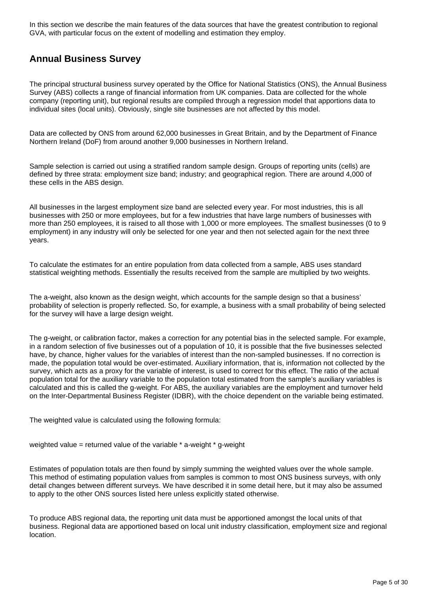In this section we describe the main features of the data sources that have the greatest contribution to regional GVA, with particular focus on the extent of modelling and estimation they employ.

#### **Annual Business Survey**

The principal structural business survey operated by the Office for National Statistics (ONS), the Annual Business Survey (ABS) collects a range of financial information from UK companies. Data are collected for the whole company (reporting unit), but regional results are compiled through a regression model that apportions data to individual sites (local units). Obviously, single site businesses are not affected by this model.

Data are collected by ONS from around 62,000 businesses in Great Britain, and by the Department of Finance Northern Ireland (DoF) from around another 9,000 businesses in Northern Ireland.

Sample selection is carried out using a stratified random sample design. Groups of reporting units (cells) are defined by three strata: employment size band; industry; and geographical region. There are around 4,000 of these cells in the ABS design.

All businesses in the largest employment size band are selected every year. For most industries, this is all businesses with 250 or more employees, but for a few industries that have large numbers of businesses with more than 250 employees, it is raised to all those with 1,000 or more employees. The smallest businesses (0 to 9 employment) in any industry will only be selected for one year and then not selected again for the next three years.

To calculate the estimates for an entire population from data collected from a sample, ABS uses standard statistical weighting methods. Essentially the results received from the sample are multiplied by two weights.

The a-weight, also known as the design weight, which accounts for the sample design so that a business' probability of selection is properly reflected. So, for example, a business with a small probability of being selected for the survey will have a large design weight.

The g-weight, or calibration factor, makes a correction for any potential bias in the selected sample. For example, in a random selection of five businesses out of a population of 10, it is possible that the five businesses selected have, by chance, higher values for the variables of interest than the non-sampled businesses. If no correction is made, the population total would be over-estimated. Auxiliary information, that is, information not collected by the survey, which acts as a proxy for the variable of interest, is used to correct for this effect. The ratio of the actual population total for the auxiliary variable to the population total estimated from the sample's auxiliary variables is calculated and this is called the g-weight. For ABS, the auxiliary variables are the employment and turnover held on the Inter-Departmental Business Register (IDBR), with the choice dependent on the variable being estimated.

The weighted value is calculated using the following formula:

weighted value = returned value of the variable \* a-weight \* g-weight

Estimates of population totals are then found by simply summing the weighted values over the whole sample. This method of estimating population values from samples is common to most ONS business surveys, with only detail changes between different surveys. We have described it in some detail here, but it may also be assumed to apply to the other ONS sources listed here unless explicitly stated otherwise.

To produce ABS regional data, the reporting unit data must be apportioned amongst the local units of that business. Regional data are apportioned based on local unit industry classification, employment size and regional location.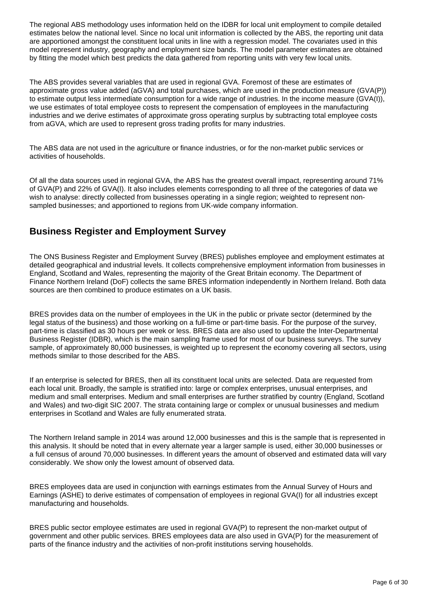The regional ABS methodology uses information held on the IDBR for local unit employment to compile detailed estimates below the national level. Since no local unit information is collected by the ABS, the reporting unit data are apportioned amongst the constituent local units in line with a regression model. The covariates used in this model represent industry, geography and employment size bands. The model parameter estimates are obtained by fitting the model which best predicts the data gathered from reporting units with very few local units.

The ABS provides several variables that are used in regional GVA. Foremost of these are estimates of approximate gross value added (aGVA) and total purchases, which are used in the production measure (GVA(P)) to estimate output less intermediate consumption for a wide range of industries. In the income measure (GVA(I)), we use estimates of total employee costs to represent the compensation of employees in the manufacturing industries and we derive estimates of approximate gross operating surplus by subtracting total employee costs from aGVA, which are used to represent gross trading profits for many industries.

The ABS data are not used in the agriculture or finance industries, or for the non-market public services or activities of households.

Of all the data sources used in regional GVA, the ABS has the greatest overall impact, representing around 71% of GVA(P) and 22% of GVA(I). It also includes elements corresponding to all three of the categories of data we wish to analyse: directly collected from businesses operating in a single region; weighted to represent nonsampled businesses; and apportioned to regions from UK-wide company information.

### **Business Register and Employment Survey**

The ONS Business Register and Employment Survey (BRES) publishes employee and employment estimates at detailed geographical and industrial levels. It collects comprehensive employment information from businesses in England, Scotland and Wales, representing the majority of the Great Britain economy. The Department of Finance Northern Ireland (DoF) collects the same BRES information independently in Northern Ireland. Both data sources are then combined to produce estimates on a UK basis.

BRES provides data on the number of employees in the UK in the public or private sector (determined by the legal status of the business) and those working on a full-time or part-time basis. For the purpose of the survey, part-time is classified as 30 hours per week or less. BRES data are also used to update the Inter-Departmental Business Register (IDBR), which is the main sampling frame used for most of our business surveys. The survey sample, of approximately 80,000 businesses, is weighted up to represent the economy covering all sectors, using methods similar to those described for the ABS.

If an enterprise is selected for BRES, then all its constituent local units are selected. Data are requested from each local unit. Broadly, the sample is stratified into: large or complex enterprises, unusual enterprises, and medium and small enterprises. Medium and small enterprises are further stratified by country (England, Scotland and Wales) and two-digit SIC 2007. The strata containing large or complex or unusual businesses and medium enterprises in Scotland and Wales are fully enumerated strata.

The Northern Ireland sample in 2014 was around 12,000 businesses and this is the sample that is represented in this analysis. It should be noted that in every alternate year a larger sample is used, either 30,000 businesses or a full census of around 70,000 businesses. In different years the amount of observed and estimated data will vary considerably. We show only the lowest amount of observed data.

BRES employees data are used in conjunction with earnings estimates from the Annual Survey of Hours and Earnings (ASHE) to derive estimates of compensation of employees in regional GVA(I) for all industries except manufacturing and households.

BRES public sector employee estimates are used in regional GVA(P) to represent the non-market output of government and other public services. BRES employees data are also used in GVA(P) for the measurement of parts of the finance industry and the activities of non-profit institutions serving households.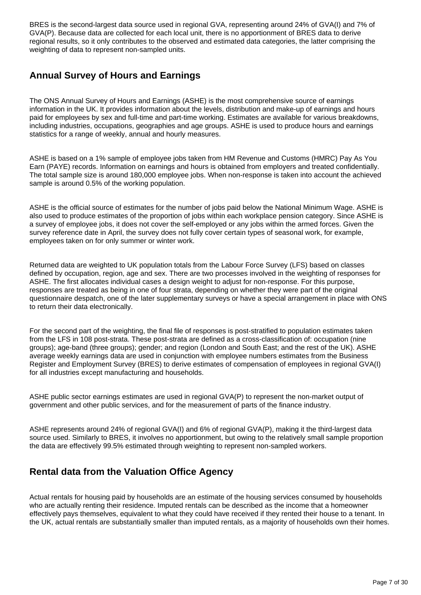BRES is the second-largest data source used in regional GVA, representing around 24% of GVA(I) and 7% of GVA(P). Because data are collected for each local unit, there is no apportionment of BRES data to derive regional results, so it only contributes to the observed and estimated data categories, the latter comprising the weighting of data to represent non-sampled units.

### **Annual Survey of Hours and Earnings**

The ONS Annual Survey of Hours and Earnings (ASHE) is the most comprehensive source of earnings information in the UK. It provides information about the levels, distribution and make-up of earnings and hours paid for employees by sex and full-time and part-time working. Estimates are available for various breakdowns, including industries, occupations, geographies and age groups. ASHE is used to produce hours and earnings statistics for a range of weekly, annual and hourly measures.

ASHE is based on a 1% sample of employee jobs taken from HM Revenue and Customs (HMRC) Pay As You Earn (PAYE) records. Information on earnings and hours is obtained from employers and treated confidentially. The total sample size is around 180,000 employee jobs. When non-response is taken into account the achieved sample is around 0.5% of the working population.

ASHE is the official source of estimates for the number of jobs paid below the National Minimum Wage. ASHE is also used to produce estimates of the proportion of jobs within each workplace pension category. Since ASHE is a survey of employee jobs, it does not cover the self-employed or any jobs within the armed forces. Given the survey reference date in April, the survey does not fully cover certain types of seasonal work, for example, employees taken on for only summer or winter work.

Returned data are weighted to UK population totals from the Labour Force Survey (LFS) based on classes defined by occupation, region, age and sex. There are two processes involved in the weighting of responses for ASHE. The first allocates individual cases a design weight to adjust for non-response. For this purpose, responses are treated as being in one of four strata, depending on whether they were part of the original questionnaire despatch, one of the later supplementary surveys or have a special arrangement in place with ONS to return their data electronically.

For the second part of the weighting, the final file of responses is post-stratified to population estimates taken from the LFS in 108 post-strata. These post-strata are defined as a cross-classification of: occupation (nine groups); age-band (three groups); gender; and region (London and South East; and the rest of the UK). ASHE average weekly earnings data are used in conjunction with employee numbers estimates from the Business Register and Employment Survey (BRES) to derive estimates of compensation of employees in regional GVA(I) for all industries except manufacturing and households.

ASHE public sector earnings estimates are used in regional GVA(P) to represent the non-market output of government and other public services, and for the measurement of parts of the finance industry.

ASHE represents around 24% of regional GVA(I) and 6% of regional GVA(P), making it the third-largest data source used. Similarly to BRES, it involves no apportionment, but owing to the relatively small sample proportion the data are effectively 99.5% estimated through weighting to represent non-sampled workers.

### **Rental data from the Valuation Office Agency**

Actual rentals for housing paid by households are an estimate of the housing services consumed by households who are actually renting their residence. Imputed rentals can be described as the income that a homeowner effectively pays themselves, equivalent to what they could have received if they rented their house to a tenant. In the UK, actual rentals are substantially smaller than imputed rentals, as a majority of households own their homes.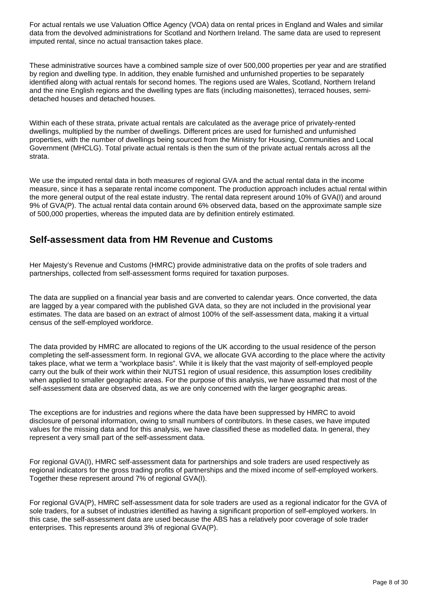For actual rentals we use Valuation Office Agency (VOA) data on rental prices in England and Wales and similar data from the devolved administrations for Scotland and Northern Ireland. The same data are used to represent imputed rental, since no actual transaction takes place.

These administrative sources have a combined sample size of over 500,000 properties per year and are stratified by region and dwelling type. In addition, they enable furnished and unfurnished properties to be separately identified along with actual rentals for second homes. The regions used are Wales, Scotland, Northern Ireland and the nine English regions and the dwelling types are flats (including maisonettes), terraced houses, semidetached houses and detached houses.

Within each of these strata, private actual rentals are calculated as the average price of privately-rented dwellings, multiplied by the number of dwellings. Different prices are used for furnished and unfurnished properties, with the number of dwellings being sourced from the Ministry for Housing, Communities and Local Government (MHCLG). Total private actual rentals is then the sum of the private actual rentals across all the strata.

We use the imputed rental data in both measures of regional GVA and the actual rental data in the income measure, since it has a separate rental income component. The production approach includes actual rental within the more general output of the real estate industry. The rental data represent around 10% of GVA(I) and around 9% of GVA(P). The actual rental data contain around 6% observed data, based on the approximate sample size of 500,000 properties, whereas the imputed data are by definition entirely estimated.

#### **Self-assessment data from HM Revenue and Customs**

Her Majesty's Revenue and Customs (HMRC) provide administrative data on the profits of sole traders and partnerships, collected from self-assessment forms required for taxation purposes.

The data are supplied on a financial year basis and are converted to calendar years. Once converted, the data are lagged by a year compared with the published GVA data, so they are not included in the provisional year estimates. The data are based on an extract of almost 100% of the self-assessment data, making it a virtual census of the self-employed workforce.

The data provided by HMRC are allocated to regions of the UK according to the usual residence of the person completing the self-assessment form. In regional GVA, we allocate GVA according to the place where the activity takes place, what we term a "workplace basis". While it is likely that the vast majority of self-employed people carry out the bulk of their work within their NUTS1 region of usual residence, this assumption loses credibility when applied to smaller geographic areas. For the purpose of this analysis, we have assumed that most of the self-assessment data are observed data, as we are only concerned with the larger geographic areas.

The exceptions are for industries and regions where the data have been suppressed by HMRC to avoid disclosure of personal information, owing to small numbers of contributors. In these cases, we have imputed values for the missing data and for this analysis, we have classified these as modelled data. In general, they represent a very small part of the self-assessment data.

For regional GVA(I), HMRC self-assessment data for partnerships and sole traders are used respectively as regional indicators for the gross trading profits of partnerships and the mixed income of self-employed workers. Together these represent around 7% of regional GVA(I).

For regional GVA(P), HMRC self-assessment data for sole traders are used as a regional indicator for the GVA of sole traders, for a subset of industries identified as having a significant proportion of self-employed workers. In this case, the self-assessment data are used because the ABS has a relatively poor coverage of sole trader enterprises. This represents around 3% of regional GVA(P).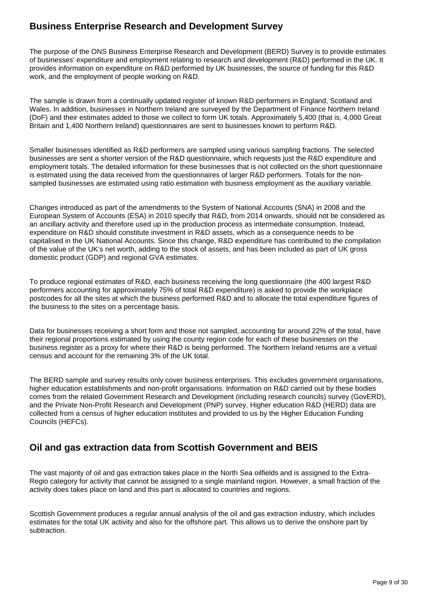### **Business Enterprise Research and Development Survey**

The purpose of the ONS Business Enterprise Research and Development (BERD) Survey is to provide estimates of businesses' expenditure and employment relating to research and development (R&D) performed in the UK. It provides information on expenditure on R&D performed by UK businesses, the source of funding for this R&D work, and the employment of people working on R&D.

The sample is drawn from a continually updated register of known R&D performers in England, Scotland and Wales. In addition, businesses in Northern Ireland are surveyed by the Department of Finance Northern Ireland (DoF) and their estimates added to those we collect to form UK totals. Approximately 5,400 (that is, 4,000 Great Britain and 1,400 Northern Ireland) questionnaires are sent to businesses known to perform R&D.

Smaller businesses identified as R&D performers are sampled using various sampling fractions. The selected businesses are sent a shorter version of the R&D questionnaire, which requests just the R&D expenditure and employment totals. The detailed information for these businesses that is not collected on the short questionnaire is estimated using the data received from the questionnaires of larger R&D performers. Totals for the nonsampled businesses are estimated using ratio estimation with business employment as the auxiliary variable.

Changes introduced as part of the amendments to the System of National Accounts (SNA) in 2008 and the European System of Accounts (ESA) in 2010 specify that R&D, from 2014 onwards, should not be considered as an ancillary activity and therefore used up in the production process as intermediate consumption. Instead, expenditure on R&D should constitute investment in R&D assets, which as a consequence needs to be capitalised in the UK National Accounts. Since this change, R&D expenditure has contributed to the compilation of the value of the UK's net worth, adding to the stock of assets, and has been included as part of UK gross domestic product (GDP) and regional GVA estimates.

To produce regional estimates of R&D, each business receiving the long questionnaire (the 400 largest R&D performers accounting for approximately 75% of total R&D expenditure) is asked to provide the workplace postcodes for all the sites at which the business performed R&D and to allocate the total expenditure figures of the business to the sites on a percentage basis.

Data for businesses receiving a short form and those not sampled, accounting for around 22% of the total, have their regional proportions estimated by using the county region code for each of these businesses on the business register as a proxy for where their R&D is being performed. The Northern Ireland returns are a virtual census and account for the remaining 3% of the UK total.

The BERD sample and survey results only cover business enterprises. This excludes government organisations, higher education establishments and non-profit organisations. Information on R&D carried out by these bodies comes from the related Government Research and Development (including research councils) survey (GovERD), and the Private Non-Profit Research and Development (PNP) survey. Higher education R&D (HERD) data are collected from a census of higher education institutes and provided to us by the Higher Education Funding Councils (HEFCs).

#### **Oil and gas extraction data from Scottish Government and BEIS**

The vast majority of oil and gas extraction takes place in the North Sea oilfields and is assigned to the Extra-Regio category for activity that cannot be assigned to a single mainland region. However, a small fraction of the activity does takes place on land and this part is allocated to countries and regions.

Scottish Government produces a regular annual analysis of the oil and gas extraction industry, which includes estimates for the total UK activity and also for the offshore part. This allows us to derive the onshore part by subtraction.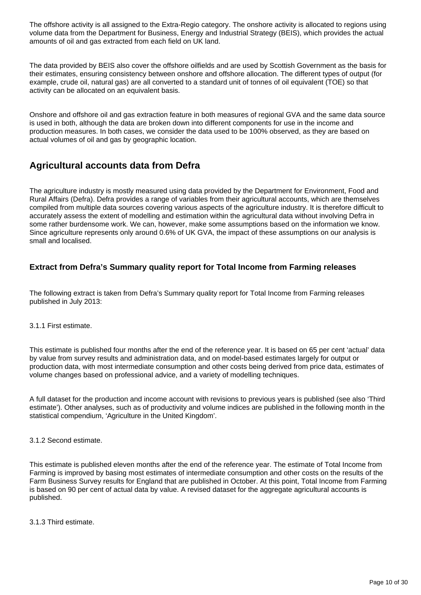The offshore activity is all assigned to the Extra-Regio category. The onshore activity is allocated to regions using volume data from the Department for Business, Energy and Industrial Strategy (BEIS), which provides the actual amounts of oil and gas extracted from each field on UK land.

The data provided by BEIS also cover the offshore oilfields and are used by Scottish Government as the basis for their estimates, ensuring consistency between onshore and offshore allocation. The different types of output (for example, crude oil, natural gas) are all converted to a standard unit of tonnes of oil equivalent (TOE) so that activity can be allocated on an equivalent basis.

Onshore and offshore oil and gas extraction feature in both measures of regional GVA and the same data source is used in both, although the data are broken down into different components for use in the income and production measures. In both cases, we consider the data used to be 100% observed, as they are based on actual volumes of oil and gas by geographic location.

### **Agricultural accounts data from Defra**

The agriculture industry is mostly measured using data provided by the Department for Environment, Food and Rural Affairs (Defra). Defra provides a range of variables from their agricultural accounts, which are themselves compiled from multiple data sources covering various aspects of the agriculture industry. It is therefore difficult to accurately assess the extent of modelling and estimation within the agricultural data without involving Defra in some rather burdensome work. We can, however, make some assumptions based on the information we know. Since agriculture represents only around 0.6% of UK GVA, the impact of these assumptions on our analysis is small and localised.

#### **Extract from Defra's Summary quality report for Total Income from Farming releases**

The following extract is taken from Defra's Summary quality report for Total Income from Farming releases published in July 2013:

#### 3.1.1 First estimate.

This estimate is published four months after the end of the reference year. It is based on 65 per cent 'actual' data by value from survey results and administration data, and on model-based estimates largely for output or production data, with most intermediate consumption and other costs being derived from price data, estimates of volume changes based on professional advice, and a variety of modelling techniques.

A full dataset for the production and income account with revisions to previous years is published (see also 'Third estimate'). Other analyses, such as of productivity and volume indices are published in the following month in the statistical compendium, 'Agriculture in the United Kingdom'.

3.1.2 Second estimate.

This estimate is published eleven months after the end of the reference year. The estimate of Total Income from Farming is improved by basing most estimates of intermediate consumption and other costs on the results of the Farm Business Survey results for England that are published in October. At this point, Total Income from Farming is based on 90 per cent of actual data by value. A revised dataset for the aggregate agricultural accounts is published.

3.1.3 Third estimate.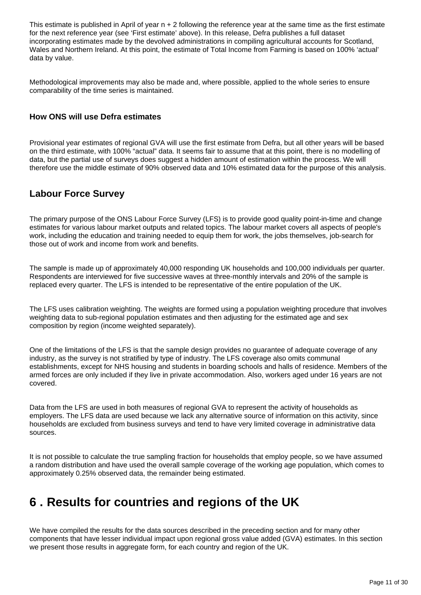This estimate is published in April of year  $n + 2$  following the reference year at the same time as the first estimate for the next reference year (see 'First estimate' above). In this release, Defra publishes a full dataset incorporating estimates made by the devolved administrations in compiling agricultural accounts for Scotland, Wales and Northern Ireland. At this point, the estimate of Total Income from Farming is based on 100% 'actual' data by value.

Methodological improvements may also be made and, where possible, applied to the whole series to ensure comparability of the time series is maintained.

#### **How ONS will use Defra estimates**

Provisional year estimates of regional GVA will use the first estimate from Defra, but all other years will be based on the third estimate, with 100% "actual" data. It seems fair to assume that at this point, there is no modelling of data, but the partial use of surveys does suggest a hidden amount of estimation within the process. We will therefore use the middle estimate of 90% observed data and 10% estimated data for the purpose of this analysis.

#### **Labour Force Survey**

The primary purpose of the ONS Labour Force Survey (LFS) is to provide good quality point-in-time and change estimates for various labour market outputs and related topics. The labour market covers all aspects of people's work, including the education and training needed to equip them for work, the jobs themselves, job-search for those out of work and income from work and benefits.

The sample is made up of approximately 40,000 responding UK households and 100,000 individuals per quarter. Respondents are interviewed for five successive waves at three-monthly intervals and 20% of the sample is replaced every quarter. The LFS is intended to be representative of the entire population of the UK.

The LFS uses calibration weighting. The weights are formed using a population weighting procedure that involves weighting data to sub-regional population estimates and then adjusting for the estimated age and sex composition by region (income weighted separately).

One of the limitations of the LFS is that the sample design provides no guarantee of adequate coverage of any industry, as the survey is not stratified by type of industry. The LFS coverage also omits communal establishments, except for NHS housing and students in boarding schools and halls of residence. Members of the armed forces are only included if they live in private accommodation. Also, workers aged under 16 years are not covered.

Data from the LFS are used in both measures of regional GVA to represent the activity of households as employers. The LFS data are used because we lack any alternative source of information on this activity, since households are excluded from business surveys and tend to have very limited coverage in administrative data sources.

It is not possible to calculate the true sampling fraction for households that employ people, so we have assumed a random distribution and have used the overall sample coverage of the working age population, which comes to approximately 0.25% observed data, the remainder being estimated.

### <span id="page-10-0"></span>**6 . Results for countries and regions of the UK**

We have compiled the results for the data sources described in the preceding section and for many other components that have lesser individual impact upon regional gross value added (GVA) estimates. In this section we present those results in aggregate form, for each country and region of the UK.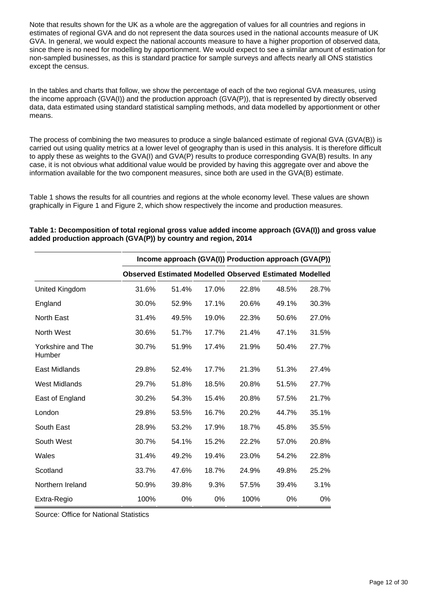Note that results shown for the UK as a whole are the aggregation of values for all countries and regions in estimates of regional GVA and do not represent the data sources used in the national accounts measure of UK GVA. In general, we would expect the national accounts measure to have a higher proportion of observed data, since there is no need for modelling by apportionment. We would expect to see a similar amount of estimation for non-sampled businesses, as this is standard practice for sample surveys and affects nearly all ONS statistics except the census.

In the tables and charts that follow, we show the percentage of each of the two regional GVA measures, using the income approach (GVA(I)) and the production approach (GVA(P)), that is represented by directly observed data, data estimated using standard statistical sampling methods, and data modelled by apportionment or other means.

The process of combining the two measures to produce a single balanced estimate of regional GVA (GVA(B)) is carried out using quality metrics at a lower level of geography than is used in this analysis. It is therefore difficult to apply these as weights to the GVA(I) and GVA(P) results to produce corresponding GVA(B) results. In any case, it is not obvious what additional value would be provided by having this aggregate over and above the information available for the two component measures, since both are used in the GVA(B) estimate.

Table 1 shows the results for all countries and regions at the whole economy level. These values are shown graphically in Figure 1 and Figure 2, which show respectively the income and production measures.

|                             |       |       |       |       | Income approach (GVA(I)) Production approach (GVA(P))          |       |
|-----------------------------|-------|-------|-------|-------|----------------------------------------------------------------|-------|
|                             |       |       |       |       | <b>Observed Estimated Modelled Observed Estimated Modelled</b> |       |
| United Kingdom              | 31.6% | 51.4% | 17.0% | 22.8% | 48.5%                                                          | 28.7% |
| England                     | 30.0% | 52.9% | 17.1% | 20.6% | 49.1%                                                          | 30.3% |
| <b>North East</b>           | 31.4% | 49.5% | 19.0% | 22.3% | 50.6%                                                          | 27.0% |
| North West                  | 30.6% | 51.7% | 17.7% | 21.4% | 47.1%                                                          | 31.5% |
| Yorkshire and The<br>Humber | 30.7% | 51.9% | 17.4% | 21.9% | 50.4%                                                          | 27.7% |
| East Midlands               | 29.8% | 52.4% | 17.7% | 21.3% | 51.3%                                                          | 27.4% |
| <b>West Midlands</b>        | 29.7% | 51.8% | 18.5% | 20.8% | 51.5%                                                          | 27.7% |
| East of England             | 30.2% | 54.3% | 15.4% | 20.8% | 57.5%                                                          | 21.7% |
| London                      | 29.8% | 53.5% | 16.7% | 20.2% | 44.7%                                                          | 35.1% |
| South East                  | 28.9% | 53.2% | 17.9% | 18.7% | 45.8%                                                          | 35.5% |
| South West                  | 30.7% | 54.1% | 15.2% | 22.2% | 57.0%                                                          | 20.8% |
| Wales                       | 31.4% | 49.2% | 19.4% | 23.0% | 54.2%                                                          | 22.8% |
| Scotland                    | 33.7% | 47.6% | 18.7% | 24.9% | 49.8%                                                          | 25.2% |
| Northern Ireland            | 50.9% | 39.8% | 9.3%  | 57.5% | 39.4%                                                          | 3.1%  |
| Extra-Regio                 | 100%  | 0%    | 0%    | 100%  | 0%                                                             | $0\%$ |

**Table 1: Decomposition of total regional gross value added income approach (GVA(I)) and gross value added production approach (GVA(P)) by country and region, 2014**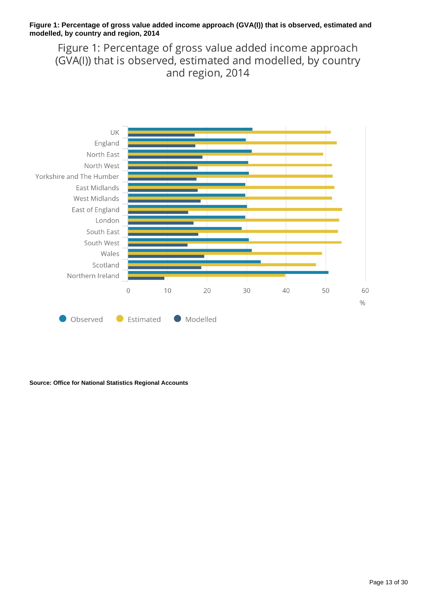#### **Figure 1: Percentage of gross value added income approach (GVA(I)) that is observed, estimated and modelled, by country and region, 2014**

Figure 1: Percentage of gross value added income approach (GVA(I)) that is observed, estimated and modelled, by country and region, 2014



**Source: Office for National Statistics Regional Accounts**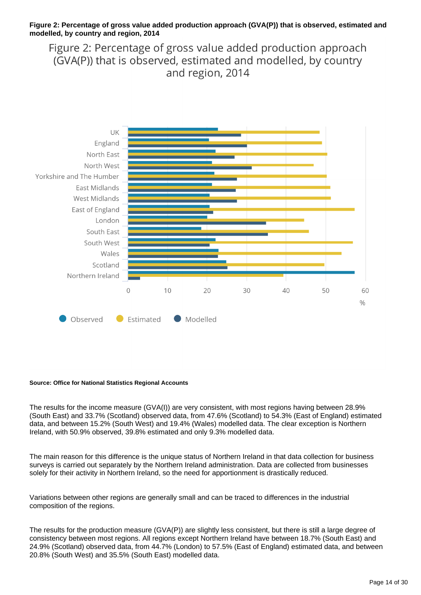#### **Figure 2: Percentage of gross value added production approach (GVA(P)) that is observed, estimated and modelled, by country and region, 2014**

Figure 2: Percentage of gross value added production approach (GVA(P)) that is observed, estimated and modelled, by country and region, 2014



#### **Source: Office for National Statistics Regional Accounts**

The results for the income measure (GVA(I)) are very consistent, with most regions having between 28.9% (South East) and 33.7% (Scotland) observed data, from 47.6% (Scotland) to 54.3% (East of England) estimated data, and between 15.2% (South West) and 19.4% (Wales) modelled data. The clear exception is Northern Ireland, with 50.9% observed, 39.8% estimated and only 9.3% modelled data.

The main reason for this difference is the unique status of Northern Ireland in that data collection for business surveys is carried out separately by the Northern Ireland administration. Data are collected from businesses solely for their activity in Northern Ireland, so the need for apportionment is drastically reduced.

Variations between other regions are generally small and can be traced to differences in the industrial composition of the regions.

The results for the production measure (GVA(P)) are slightly less consistent, but there is still a large degree of consistency between most regions. All regions except Northern Ireland have between 18.7% (South East) and 24.9% (Scotland) observed data, from 44.7% (London) to 57.5% (East of England) estimated data, and between 20.8% (South West) and 35.5% (South East) modelled data.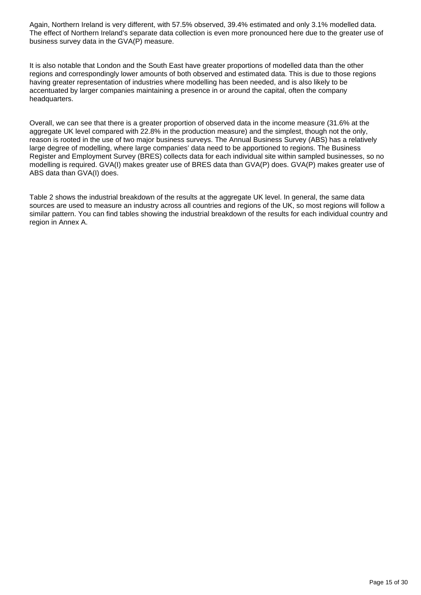Again, Northern Ireland is very different, with 57.5% observed, 39.4% estimated and only 3.1% modelled data. The effect of Northern Ireland's separate data collection is even more pronounced here due to the greater use of business survey data in the GVA(P) measure.

It is also notable that London and the South East have greater proportions of modelled data than the other regions and correspondingly lower amounts of both observed and estimated data. This is due to those regions having greater representation of industries where modelling has been needed, and is also likely to be accentuated by larger companies maintaining a presence in or around the capital, often the company headquarters.

Overall, we can see that there is a greater proportion of observed data in the income measure (31.6% at the aggregate UK level compared with 22.8% in the production measure) and the simplest, though not the only, reason is rooted in the use of two major business surveys. The Annual Business Survey (ABS) has a relatively large degree of modelling, where large companies' data need to be apportioned to regions. The Business Register and Employment Survey (BRES) collects data for each individual site within sampled businesses, so no modelling is required. GVA(I) makes greater use of BRES data than GVA(P) does. GVA(P) makes greater use of ABS data than GVA(I) does.

Table 2 shows the industrial breakdown of the results at the aggregate UK level. In general, the same data sources are used to measure an industry across all countries and regions of the UK, so most regions will follow a similar pattern. You can find tables showing the industrial breakdown of the results for each individual country and region in Annex A.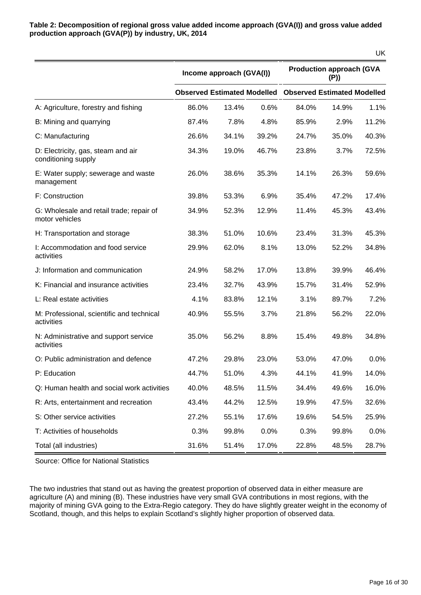|                                                            |                                    |                          |       |                                        |       | <b>UK</b> |  |
|------------------------------------------------------------|------------------------------------|--------------------------|-------|----------------------------------------|-------|-----------|--|
|                                                            |                                    | Income approach (GVA(I)) |       | <b>Production approach (GVA</b><br>(P) |       |           |  |
|                                                            | <b>Observed Estimated Modelled</b> |                          |       | <b>Observed Estimated Modelled</b>     |       |           |  |
| A: Agriculture, forestry and fishing                       | 86.0%                              | 13.4%                    | 0.6%  | 84.0%                                  | 14.9% | 1.1%      |  |
| B: Mining and quarrying                                    | 87.4%                              | 7.8%                     | 4.8%  | 85.9%                                  | 2.9%  | 11.2%     |  |
| C: Manufacturing                                           | 26.6%                              | 34.1%                    | 39.2% | 24.7%                                  | 35.0% | 40.3%     |  |
| D: Electricity, gas, steam and air<br>conditioning supply  | 34.3%                              | 19.0%                    | 46.7% | 23.8%                                  | 3.7%  | 72.5%     |  |
| E: Water supply; sewerage and waste<br>management          | 26.0%                              | 38.6%                    | 35.3% | 14.1%                                  | 26.3% | 59.6%     |  |
| F: Construction                                            | 39.8%                              | 53.3%                    | 6.9%  | 35.4%                                  | 47.2% | 17.4%     |  |
| G: Wholesale and retail trade; repair of<br>motor vehicles | 34.9%                              | 52.3%                    | 12.9% | 11.4%                                  | 45.3% | 43.4%     |  |
| H: Transportation and storage                              | 38.3%                              | 51.0%                    | 10.6% | 23.4%                                  | 31.3% | 45.3%     |  |
| I: Accommodation and food service<br>activities            | 29.9%                              | 62.0%                    | 8.1%  | 13.0%                                  | 52.2% | 34.8%     |  |
| J: Information and communication                           | 24.9%                              | 58.2%                    | 17.0% | 13.8%                                  | 39.9% | 46.4%     |  |
| K: Financial and insurance activities                      | 23.4%                              | 32.7%                    | 43.9% | 15.7%                                  | 31.4% | 52.9%     |  |
| L: Real estate activities                                  | 4.1%                               | 83.8%                    | 12.1% | 3.1%                                   | 89.7% | 7.2%      |  |
| M: Professional, scientific and technical<br>activities    | 40.9%                              | 55.5%                    | 3.7%  | 21.8%                                  | 56.2% | 22.0%     |  |
| N: Administrative and support service<br>activities        | 35.0%                              | 56.2%                    | 8.8%  | 15.4%                                  | 49.8% | 34.8%     |  |
| O: Public administration and defence                       | 47.2%                              | 29.8%                    | 23.0% | 53.0%                                  | 47.0% | 0.0%      |  |
| P: Education                                               | 44.7%                              | 51.0%                    | 4.3%  | 44.1%                                  | 41.9% | 14.0%     |  |
| Q: Human health and social work activities                 | 40.0%                              | 48.5%                    | 11.5% | 34.4%                                  | 49.6% | 16.0%     |  |
| R: Arts, entertainment and recreation                      | 43.4%                              | 44.2%                    | 12.5% | 19.9%                                  | 47.5% | 32.6%     |  |
| S: Other service activities                                | 27.2%                              | 55.1%                    | 17.6% | 19.6%                                  | 54.5% | 25.9%     |  |
| T: Activities of households                                | 0.3%                               | 99.8%                    | 0.0%  | 0.3%                                   | 99.8% | 0.0%      |  |
| Total (all industries)                                     | 31.6%                              | 51.4%                    | 17.0% | 22.8%                                  | 48.5% | 28.7%     |  |

Source: Office for National Statistics

The two industries that stand out as having the greatest proportion of observed data in either measure are agriculture (A) and mining (B). These industries have very small GVA contributions in most regions, with the majority of mining GVA going to the Extra-Regio category. They do have slightly greater weight in the economy of Scotland, though, and this helps to explain Scotland's slightly higher proportion of observed data.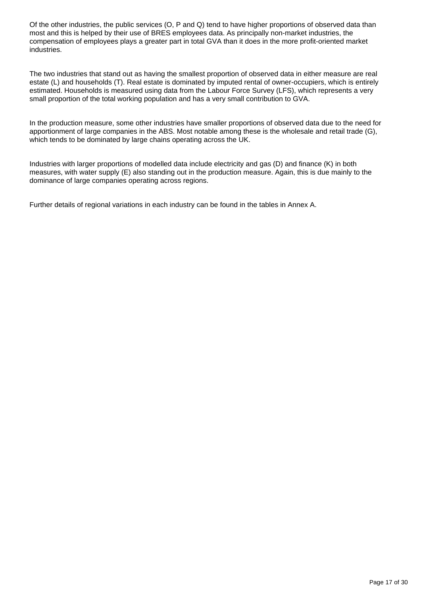Of the other industries, the public services (O, P and Q) tend to have higher proportions of observed data than most and this is helped by their use of BRES employees data. As principally non-market industries, the compensation of employees plays a greater part in total GVA than it does in the more profit-oriented market industries.

The two industries that stand out as having the smallest proportion of observed data in either measure are real estate (L) and households (T). Real estate is dominated by imputed rental of owner-occupiers, which is entirely estimated. Households is measured using data from the Labour Force Survey (LFS), which represents a very small proportion of the total working population and has a very small contribution to GVA.

In the production measure, some other industries have smaller proportions of observed data due to the need for apportionment of large companies in the ABS. Most notable among these is the wholesale and retail trade (G), which tends to be dominated by large chains operating across the UK.

Industries with larger proportions of modelled data include electricity and gas (D) and finance (K) in both measures, with water supply (E) also standing out in the production measure. Again, this is due mainly to the dominance of large companies operating across regions.

Further details of regional variations in each industry can be found in the tables in Annex A.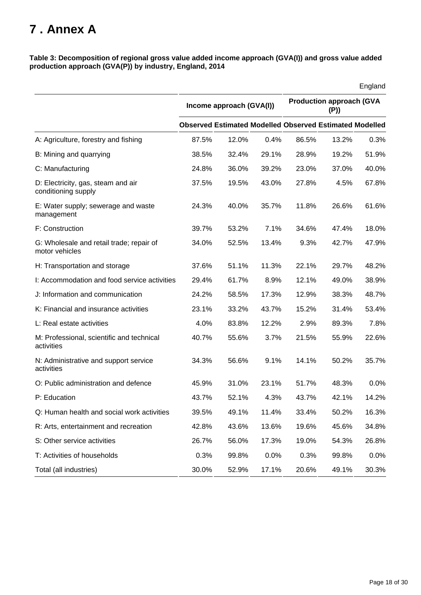## <span id="page-17-0"></span>**7 . Annex A**

**Table 3: Decomposition of regional gross value added income approach (GVA(I)) and gross value added production approach (GVA(P)) by industry, England, 2014**

|                                                            |       |                                                                |       |       |                                        | England |  |
|------------------------------------------------------------|-------|----------------------------------------------------------------|-------|-------|----------------------------------------|---------|--|
|                                                            |       | Income approach (GVA(I))                                       |       |       | <b>Production approach (GVA</b><br>(P) |         |  |
|                                                            |       | <b>Observed Estimated Modelled Observed Estimated Modelled</b> |       |       |                                        |         |  |
| A: Agriculture, forestry and fishing                       | 87.5% | 12.0%                                                          | 0.4%  | 86.5% | 13.2%                                  | 0.3%    |  |
| B: Mining and quarrying                                    | 38.5% | 32.4%                                                          | 29.1% | 28.9% | 19.2%                                  | 51.9%   |  |
| C: Manufacturing                                           | 24.8% | 36.0%                                                          | 39.2% | 23.0% | 37.0%                                  | 40.0%   |  |
| D: Electricity, gas, steam and air<br>conditioning supply  | 37.5% | 19.5%                                                          | 43.0% | 27.8% | 4.5%                                   | 67.8%   |  |
| E: Water supply; sewerage and waste<br>management          | 24.3% | 40.0%                                                          | 35.7% | 11.8% | 26.6%                                  | 61.6%   |  |
| F: Construction                                            | 39.7% | 53.2%                                                          | 7.1%  | 34.6% | 47.4%                                  | 18.0%   |  |
| G: Wholesale and retail trade; repair of<br>motor vehicles | 34.0% | 52.5%                                                          | 13.4% | 9.3%  | 42.7%                                  | 47.9%   |  |
| H: Transportation and storage                              | 37.6% | 51.1%                                                          | 11.3% | 22.1% | 29.7%                                  | 48.2%   |  |
| I: Accommodation and food service activities               | 29.4% | 61.7%                                                          | 8.9%  | 12.1% | 49.0%                                  | 38.9%   |  |
| J: Information and communication                           | 24.2% | 58.5%                                                          | 17.3% | 12.9% | 38.3%                                  | 48.7%   |  |
| K: Financial and insurance activities                      | 23.1% | 33.2%                                                          | 43.7% | 15.2% | 31.4%                                  | 53.4%   |  |
| L: Real estate activities                                  | 4.0%  | 83.8%                                                          | 12.2% | 2.9%  | 89.3%                                  | 7.8%    |  |
| M: Professional, scientific and technical<br>activities    | 40.7% | 55.6%                                                          | 3.7%  | 21.5% | 55.9%                                  | 22.6%   |  |
| N: Administrative and support service<br>activities        | 34.3% | 56.6%                                                          | 9.1%  | 14.1% | 50.2%                                  | 35.7%   |  |
| O: Public administration and defence                       | 45.9% | 31.0%                                                          | 23.1% | 51.7% | 48.3%                                  | 0.0%    |  |
| P: Education                                               | 43.7% | 52.1%                                                          | 4.3%  | 43.7% | 42.1%                                  | 14.2%   |  |
| Q: Human health and social work activities                 | 39.5% | 49.1%                                                          | 11.4% | 33.4% | 50.2%                                  | 16.3%   |  |
| R: Arts, entertainment and recreation                      | 42.8% | 43.6%                                                          | 13.6% | 19.6% | 45.6%                                  | 34.8%   |  |
| S: Other service activities                                | 26.7% | 56.0%                                                          | 17.3% | 19.0% | 54.3%                                  | 26.8%   |  |
| T: Activities of households                                | 0.3%  | 99.8%                                                          | 0.0%  | 0.3%  | 99.8%                                  | 0.0%    |  |
| Total (all industries)                                     | 30.0% | 52.9%                                                          | 17.1% | 20.6% | 49.1%                                  | 30.3%   |  |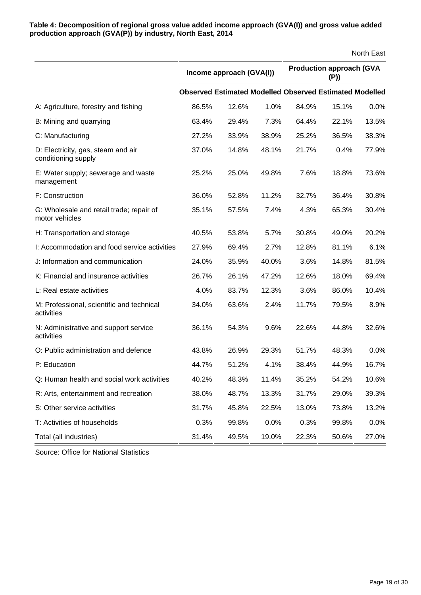**Table 4: Decomposition of regional gross value added income approach (GVA(I)) and gross value added production approach (GVA(P)) by industry, North East, 2014**

|                                                            |                          |                                                                |       |                                        |       | North East |  |
|------------------------------------------------------------|--------------------------|----------------------------------------------------------------|-------|----------------------------------------|-------|------------|--|
|                                                            | Income approach (GVA(I)) |                                                                |       | <b>Production approach (GVA</b><br>(P) |       |            |  |
|                                                            |                          | <b>Observed Estimated Modelled Observed Estimated Modelled</b> |       |                                        |       |            |  |
| A: Agriculture, forestry and fishing                       | 86.5%                    | 12.6%                                                          | 1.0%  | 84.9%                                  | 15.1% | 0.0%       |  |
| B: Mining and quarrying                                    | 63.4%                    | 29.4%                                                          | 7.3%  | 64.4%                                  | 22.1% | 13.5%      |  |
| C: Manufacturing                                           | 27.2%                    | 33.9%                                                          | 38.9% | 25.2%                                  | 36.5% | 38.3%      |  |
| D: Electricity, gas, steam and air<br>conditioning supply  | 37.0%                    | 14.8%                                                          | 48.1% | 21.7%                                  | 0.4%  | 77.9%      |  |
| E: Water supply; sewerage and waste<br>management          | 25.2%                    | 25.0%                                                          | 49.8% | 7.6%                                   | 18.8% | 73.6%      |  |
| F: Construction                                            | 36.0%                    | 52.8%                                                          | 11.2% | 32.7%                                  | 36.4% | 30.8%      |  |
| G: Wholesale and retail trade; repair of<br>motor vehicles | 35.1%                    | 57.5%                                                          | 7.4%  | 4.3%                                   | 65.3% | 30.4%      |  |
| H: Transportation and storage                              | 40.5%                    | 53.8%                                                          | 5.7%  | 30.8%                                  | 49.0% | 20.2%      |  |
| I: Accommodation and food service activities               | 27.9%                    | 69.4%                                                          | 2.7%  | 12.8%                                  | 81.1% | 6.1%       |  |
| J: Information and communication                           | 24.0%                    | 35.9%                                                          | 40.0% | 3.6%                                   | 14.8% | 81.5%      |  |
| K: Financial and insurance activities                      | 26.7%                    | 26.1%                                                          | 47.2% | 12.6%                                  | 18.0% | 69.4%      |  |
| L: Real estate activities                                  | 4.0%                     | 83.7%                                                          | 12.3% | 3.6%                                   | 86.0% | 10.4%      |  |
| M: Professional, scientific and technical<br>activities    | 34.0%                    | 63.6%                                                          | 2.4%  | 11.7%                                  | 79.5% | 8.9%       |  |
| N: Administrative and support service<br>activities        | 36.1%                    | 54.3%                                                          | 9.6%  | 22.6%                                  | 44.8% | 32.6%      |  |
| O: Public administration and defence                       | 43.8%                    | 26.9%                                                          | 29.3% | 51.7%                                  | 48.3% | 0.0%       |  |
| P: Education                                               | 44.7%                    | 51.2%                                                          | 4.1%  | 38.4%                                  | 44.9% | 16.7%      |  |
| Q: Human health and social work activities                 | 40.2%                    | 48.3%                                                          | 11.4% | 35.2%                                  | 54.2% | 10.6%      |  |
| R: Arts, entertainment and recreation                      | 38.0%                    | 48.7%                                                          | 13.3% | 31.7%                                  | 29.0% | 39.3%      |  |
| S: Other service activities                                | 31.7%                    | 45.8%                                                          | 22.5% | 13.0%                                  | 73.8% | 13.2%      |  |
| T: Activities of households                                | 0.3%                     | 99.8%                                                          | 0.0%  | 0.3%                                   | 99.8% | 0.0%       |  |
| Total (all industries)                                     | 31.4%                    | 49.5%                                                          | 19.0% | 22.3%                                  | 50.6% | 27.0%      |  |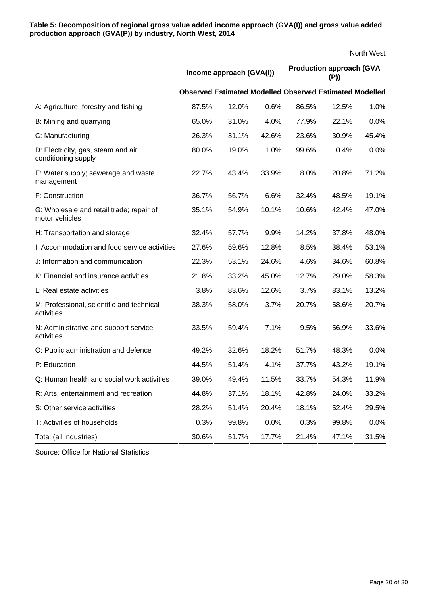**Table 5: Decomposition of regional gross value added income approach (GVA(I)) and gross value added production approach (GVA(P)) by industry, North West, 2014**

|                                                            |       |                                                                |       |       |                                        | North West |  |  |
|------------------------------------------------------------|-------|----------------------------------------------------------------|-------|-------|----------------------------------------|------------|--|--|
|                                                            |       | Income approach (GVA(I))                                       |       |       | <b>Production approach (GVA</b><br>(P) |            |  |  |
|                                                            |       | <b>Observed Estimated Modelled Observed Estimated Modelled</b> |       |       |                                        |            |  |  |
| A: Agriculture, forestry and fishing                       | 87.5% | 12.0%                                                          | 0.6%  | 86.5% | 12.5%                                  | 1.0%       |  |  |
| B: Mining and quarrying                                    | 65.0% | 31.0%                                                          | 4.0%  | 77.9% | 22.1%                                  | 0.0%       |  |  |
| C: Manufacturing                                           | 26.3% | 31.1%                                                          | 42.6% | 23.6% | 30.9%                                  | 45.4%      |  |  |
| D: Electricity, gas, steam and air<br>conditioning supply  | 80.0% | 19.0%                                                          | 1.0%  | 99.6% | 0.4%                                   | 0.0%       |  |  |
| E: Water supply; sewerage and waste<br>management          | 22.7% | 43.4%                                                          | 33.9% | 8.0%  | 20.8%                                  | 71.2%      |  |  |
| F: Construction                                            | 36.7% | 56.7%                                                          | 6.6%  | 32.4% | 48.5%                                  | 19.1%      |  |  |
| G: Wholesale and retail trade; repair of<br>motor vehicles | 35.1% | 54.9%                                                          | 10.1% | 10.6% | 42.4%                                  | 47.0%      |  |  |
| H: Transportation and storage                              | 32.4% | 57.7%                                                          | 9.9%  | 14.2% | 37.8%                                  | 48.0%      |  |  |
| I: Accommodation and food service activities               | 27.6% | 59.6%                                                          | 12.8% | 8.5%  | 38.4%                                  | 53.1%      |  |  |
| J: Information and communication                           | 22.3% | 53.1%                                                          | 24.6% | 4.6%  | 34.6%                                  | 60.8%      |  |  |
| K: Financial and insurance activities                      | 21.8% | 33.2%                                                          | 45.0% | 12.7% | 29.0%                                  | 58.3%      |  |  |
| L: Real estate activities                                  | 3.8%  | 83.6%                                                          | 12.6% | 3.7%  | 83.1%                                  | 13.2%      |  |  |
| M: Professional, scientific and technical<br>activities    | 38.3% | 58.0%                                                          | 3.7%  | 20.7% | 58.6%                                  | 20.7%      |  |  |
| N: Administrative and support service<br>activities        | 33.5% | 59.4%                                                          | 7.1%  | 9.5%  | 56.9%                                  | 33.6%      |  |  |
| O: Public administration and defence                       | 49.2% | 32.6%                                                          | 18.2% | 51.7% | 48.3%                                  | 0.0%       |  |  |
| P: Education                                               | 44.5% | 51.4%                                                          | 4.1%  | 37.7% | 43.2%                                  | 19.1%      |  |  |
| Q: Human health and social work activities                 | 39.0% | 49.4%                                                          | 11.5% | 33.7% | 54.3%                                  | 11.9%      |  |  |
| R: Arts, entertainment and recreation                      | 44.8% | 37.1%                                                          | 18.1% | 42.8% | 24.0%                                  | 33.2%      |  |  |
| S: Other service activities                                | 28.2% | 51.4%                                                          | 20.4% | 18.1% | 52.4%                                  | 29.5%      |  |  |
| T: Activities of households                                | 0.3%  | 99.8%                                                          | 0.0%  | 0.3%  | 99.8%                                  | 0.0%       |  |  |
| Total (all industries)                                     | 30.6% | 51.7%                                                          | 17.7% | 21.4% | 47.1%                                  | 31.5%      |  |  |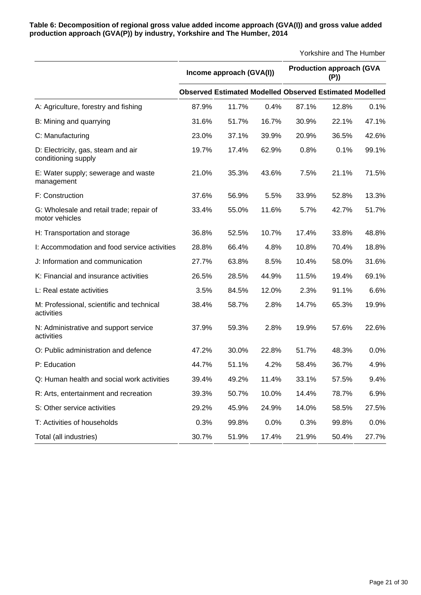| Table 6: Decomposition of regional gross value added income approach (GVA(I)) and gross value added |
|-----------------------------------------------------------------------------------------------------|
| production approach (GVA(P)) by industry, Yorkshire and The Humber, 2014                            |

|                                                            | Income approach (GVA(I)) |       |       |       | <b>Production approach (GVA</b><br>(P)                         |       |
|------------------------------------------------------------|--------------------------|-------|-------|-------|----------------------------------------------------------------|-------|
|                                                            |                          |       |       |       | <b>Observed Estimated Modelled Observed Estimated Modelled</b> |       |
| A: Agriculture, forestry and fishing                       | 87.9%                    | 11.7% | 0.4%  | 87.1% | 12.8%                                                          | 0.1%  |
| B: Mining and quarrying                                    | 31.6%                    | 51.7% | 16.7% | 30.9% | 22.1%                                                          | 47.1% |
| C: Manufacturing                                           | 23.0%                    | 37.1% | 39.9% | 20.9% | 36.5%                                                          | 42.6% |
| D: Electricity, gas, steam and air<br>conditioning supply  | 19.7%                    | 17.4% | 62.9% | 0.8%  | 0.1%                                                           | 99.1% |
| E: Water supply; sewerage and waste<br>management          | 21.0%                    | 35.3% | 43.6% | 7.5%  | 21.1%                                                          | 71.5% |
| F: Construction                                            | 37.6%                    | 56.9% | 5.5%  | 33.9% | 52.8%                                                          | 13.3% |
| G: Wholesale and retail trade; repair of<br>motor vehicles | 33.4%                    | 55.0% | 11.6% | 5.7%  | 42.7%                                                          | 51.7% |
| H: Transportation and storage                              | 36.8%                    | 52.5% | 10.7% | 17.4% | 33.8%                                                          | 48.8% |
| I: Accommodation and food service activities               | 28.8%                    | 66.4% | 4.8%  | 10.8% | 70.4%                                                          | 18.8% |
| J: Information and communication                           | 27.7%                    | 63.8% | 8.5%  | 10.4% | 58.0%                                                          | 31.6% |
| K: Financial and insurance activities                      | 26.5%                    | 28.5% | 44.9% | 11.5% | 19.4%                                                          | 69.1% |
| L: Real estate activities                                  | 3.5%                     | 84.5% | 12.0% | 2.3%  | 91.1%                                                          | 6.6%  |
| M: Professional, scientific and technical<br>activities    | 38.4%                    | 58.7% | 2.8%  | 14.7% | 65.3%                                                          | 19.9% |
| N: Administrative and support service<br>activities        | 37.9%                    | 59.3% | 2.8%  | 19.9% | 57.6%                                                          | 22.6% |
| O: Public administration and defence                       | 47.2%                    | 30.0% | 22.8% | 51.7% | 48.3%                                                          | 0.0%  |
| P: Education                                               | 44.7%                    | 51.1% | 4.2%  | 58.4% | 36.7%                                                          | 4.9%  |
| Q: Human health and social work activities                 | 39.4%                    | 49.2% | 11.4% | 33.1% | 57.5%                                                          | 9.4%  |
| R: Arts, entertainment and recreation                      | 39.3%                    | 50.7% | 10.0% | 14.4% | 78.7%                                                          | 6.9%  |
| S: Other service activities                                | 29.2%                    | 45.9% | 24.9% | 14.0% | 58.5%                                                          | 27.5% |
| T: Activities of households                                | 0.3%                     | 99.8% | 0.0%  | 0.3%  | 99.8%                                                          | 0.0%  |
| Total (all industries)                                     | 30.7%                    | 51.9% | 17.4% | 21.9% | 50.4%                                                          | 27.7% |

Yorkshire and The Humber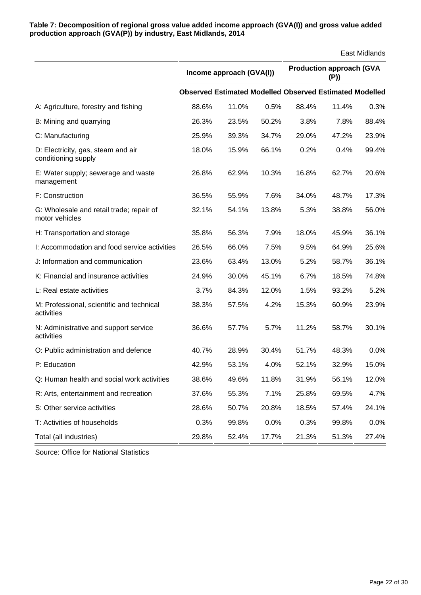**Table 7: Decomposition of regional gross value added income approach (GVA(I)) and gross value added production approach (GVA(P)) by industry, East Midlands, 2014**

|                                                            |                          |                                                                |       |                                        |       | East Midlands |  |
|------------------------------------------------------------|--------------------------|----------------------------------------------------------------|-------|----------------------------------------|-------|---------------|--|
|                                                            | Income approach (GVA(I)) |                                                                |       | <b>Production approach (GVA</b><br>(P) |       |               |  |
|                                                            |                          | <b>Observed Estimated Modelled Observed Estimated Modelled</b> |       |                                        |       |               |  |
| A: Agriculture, forestry and fishing                       | 88.6%                    | 11.0%                                                          | 0.5%  | 88.4%                                  | 11.4% | 0.3%          |  |
| B: Mining and quarrying                                    | 26.3%                    | 23.5%                                                          | 50.2% | 3.8%                                   | 7.8%  | 88.4%         |  |
| C: Manufacturing                                           | 25.9%                    | 39.3%                                                          | 34.7% | 29.0%                                  | 47.2% | 23.9%         |  |
| D: Electricity, gas, steam and air<br>conditioning supply  | 18.0%                    | 15.9%                                                          | 66.1% | 0.2%                                   | 0.4%  | 99.4%         |  |
| E: Water supply; sewerage and waste<br>management          | 26.8%                    | 62.9%                                                          | 10.3% | 16.8%                                  | 62.7% | 20.6%         |  |
| F: Construction                                            | 36.5%                    | 55.9%                                                          | 7.6%  | 34.0%                                  | 48.7% | 17.3%         |  |
| G: Wholesale and retail trade; repair of<br>motor vehicles | 32.1%                    | 54.1%                                                          | 13.8% | 5.3%                                   | 38.8% | 56.0%         |  |
| H: Transportation and storage                              | 35.8%                    | 56.3%                                                          | 7.9%  | 18.0%                                  | 45.9% | 36.1%         |  |
| I: Accommodation and food service activities               | 26.5%                    | 66.0%                                                          | 7.5%  | 9.5%                                   | 64.9% | 25.6%         |  |
| J: Information and communication                           | 23.6%                    | 63.4%                                                          | 13.0% | 5.2%                                   | 58.7% | 36.1%         |  |
| K: Financial and insurance activities                      | 24.9%                    | 30.0%                                                          | 45.1% | 6.7%                                   | 18.5% | 74.8%         |  |
| L: Real estate activities                                  | 3.7%                     | 84.3%                                                          | 12.0% | 1.5%                                   | 93.2% | 5.2%          |  |
| M: Professional, scientific and technical<br>activities    | 38.3%                    | 57.5%                                                          | 4.2%  | 15.3%                                  | 60.9% | 23.9%         |  |
| N: Administrative and support service<br>activities        | 36.6%                    | 57.7%                                                          | 5.7%  | 11.2%                                  | 58.7% | 30.1%         |  |
| O: Public administration and defence                       | 40.7%                    | 28.9%                                                          | 30.4% | 51.7%                                  | 48.3% | 0.0%          |  |
| P: Education                                               | 42.9%                    | 53.1%                                                          | 4.0%  | 52.1%                                  | 32.9% | 15.0%         |  |
| Q: Human health and social work activities                 | 38.6%                    | 49.6%                                                          | 11.8% | 31.9%                                  | 56.1% | 12.0%         |  |
| R: Arts, entertainment and recreation                      | 37.6%                    | 55.3%                                                          | 7.1%  | 25.8%                                  | 69.5% | 4.7%          |  |
| S: Other service activities                                | 28.6%                    | 50.7%                                                          | 20.8% | 18.5%                                  | 57.4% | 24.1%         |  |
| T: Activities of households                                | 0.3%                     | 99.8%                                                          | 0.0%  | 0.3%                                   | 99.8% | 0.0%          |  |
| Total (all industries)                                     | 29.8%                    | 52.4%                                                          | 17.7% | 21.3%                                  | 51.3% | 27.4%         |  |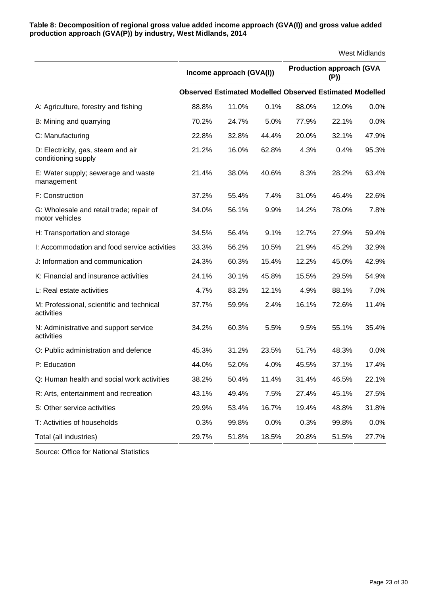**Table 8: Decomposition of regional gross value added income approach (GVA(I)) and gross value added production approach (GVA(P)) by industry, West Midlands, 2014**

|                                                            |       |                                                                |       |       |                                        | <b>West Midlands</b> |  |  |
|------------------------------------------------------------|-------|----------------------------------------------------------------|-------|-------|----------------------------------------|----------------------|--|--|
|                                                            |       | Income approach (GVA(I))                                       |       |       | <b>Production approach (GVA</b><br>(P) |                      |  |  |
|                                                            |       | <b>Observed Estimated Modelled Observed Estimated Modelled</b> |       |       |                                        |                      |  |  |
| A: Agriculture, forestry and fishing                       | 88.8% | 11.0%                                                          | 0.1%  | 88.0% | 12.0%                                  | 0.0%                 |  |  |
| B: Mining and quarrying                                    | 70.2% | 24.7%                                                          | 5.0%  | 77.9% | 22.1%                                  | 0.0%                 |  |  |
| C: Manufacturing                                           | 22.8% | 32.8%                                                          | 44.4% | 20.0% | 32.1%                                  | 47.9%                |  |  |
| D: Electricity, gas, steam and air<br>conditioning supply  | 21.2% | 16.0%                                                          | 62.8% | 4.3%  | 0.4%                                   | 95.3%                |  |  |
| E: Water supply; sewerage and waste<br>management          | 21.4% | 38.0%                                                          | 40.6% | 8.3%  | 28.2%                                  | 63.4%                |  |  |
| F: Construction                                            | 37.2% | 55.4%                                                          | 7.4%  | 31.0% | 46.4%                                  | 22.6%                |  |  |
| G: Wholesale and retail trade; repair of<br>motor vehicles | 34.0% | 56.1%                                                          | 9.9%  | 14.2% | 78.0%                                  | 7.8%                 |  |  |
| H: Transportation and storage                              | 34.5% | 56.4%                                                          | 9.1%  | 12.7% | 27.9%                                  | 59.4%                |  |  |
| I: Accommodation and food service activities               | 33.3% | 56.2%                                                          | 10.5% | 21.9% | 45.2%                                  | 32.9%                |  |  |
| J: Information and communication                           | 24.3% | 60.3%                                                          | 15.4% | 12.2% | 45.0%                                  | 42.9%                |  |  |
| K: Financial and insurance activities                      | 24.1% | 30.1%                                                          | 45.8% | 15.5% | 29.5%                                  | 54.9%                |  |  |
| L: Real estate activities                                  | 4.7%  | 83.2%                                                          | 12.1% | 4.9%  | 88.1%                                  | 7.0%                 |  |  |
| M: Professional, scientific and technical<br>activities    | 37.7% | 59.9%                                                          | 2.4%  | 16.1% | 72.6%                                  | 11.4%                |  |  |
| N: Administrative and support service<br>activities        | 34.2% | 60.3%                                                          | 5.5%  | 9.5%  | 55.1%                                  | 35.4%                |  |  |
| O: Public administration and defence                       | 45.3% | 31.2%                                                          | 23.5% | 51.7% | 48.3%                                  | 0.0%                 |  |  |
| P: Education                                               | 44.0% | 52.0%                                                          | 4.0%  | 45.5% | 37.1%                                  | 17.4%                |  |  |
| Q: Human health and social work activities                 | 38.2% | 50.4%                                                          | 11.4% | 31.4% | 46.5%                                  | 22.1%                |  |  |
| R: Arts, entertainment and recreation                      | 43.1% | 49.4%                                                          | 7.5%  | 27.4% | 45.1%                                  | 27.5%                |  |  |
| S: Other service activities                                | 29.9% | 53.4%                                                          | 16.7% | 19.4% | 48.8%                                  | 31.8%                |  |  |
| T: Activities of households                                | 0.3%  | 99.8%                                                          | 0.0%  | 0.3%  | 99.8%                                  | 0.0%                 |  |  |
| Total (all industries)                                     | 29.7% | 51.8%                                                          | 18.5% | 20.8% | 51.5%                                  | 27.7%                |  |  |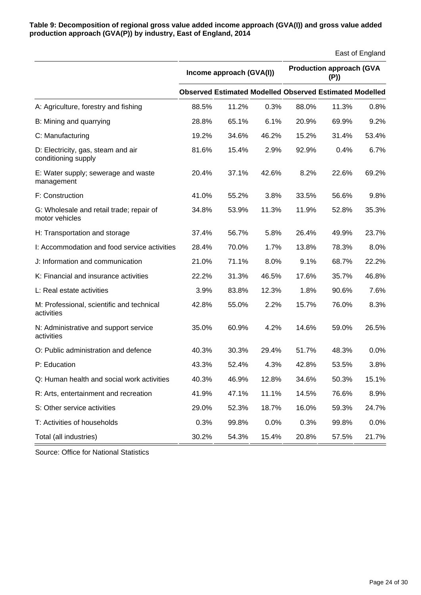| Table 9: Decomposition of regional gross value added income approach (GVA(I)) and gross value added |
|-----------------------------------------------------------------------------------------------------|
| production approach (GVA(P)) by industry, East of England, 2014                                     |

|                                                            |                          |                                                                |       |       |                                        | East of England |
|------------------------------------------------------------|--------------------------|----------------------------------------------------------------|-------|-------|----------------------------------------|-----------------|
|                                                            | Income approach (GVA(I)) |                                                                |       |       | <b>Production approach (GVA</b><br>(P) |                 |
|                                                            |                          | <b>Observed Estimated Modelled Observed Estimated Modelled</b> |       |       |                                        |                 |
| A: Agriculture, forestry and fishing                       | 88.5%                    | 11.2%                                                          | 0.3%  | 88.0% | 11.3%                                  | 0.8%            |
| B: Mining and quarrying                                    | 28.8%                    | 65.1%                                                          | 6.1%  | 20.9% | 69.9%                                  | 9.2%            |
| C: Manufacturing                                           | 19.2%                    | 34.6%                                                          | 46.2% | 15.2% | 31.4%                                  | 53.4%           |
| D: Electricity, gas, steam and air<br>conditioning supply  | 81.6%                    | 15.4%                                                          | 2.9%  | 92.9% | 0.4%                                   | 6.7%            |
| E: Water supply; sewerage and waste<br>management          | 20.4%                    | 37.1%                                                          | 42.6% | 8.2%  | 22.6%                                  | 69.2%           |
| F: Construction                                            | 41.0%                    | 55.2%                                                          | 3.8%  | 33.5% | 56.6%                                  | 9.8%            |
| G: Wholesale and retail trade; repair of<br>motor vehicles | 34.8%                    | 53.9%                                                          | 11.3% | 11.9% | 52.8%                                  | 35.3%           |
| H: Transportation and storage                              | 37.4%                    | 56.7%                                                          | 5.8%  | 26.4% | 49.9%                                  | 23.7%           |
| I: Accommodation and food service activities               | 28.4%                    | 70.0%                                                          | 1.7%  | 13.8% | 78.3%                                  | 8.0%            |
| J: Information and communication                           | 21.0%                    | 71.1%                                                          | 8.0%  | 9.1%  | 68.7%                                  | 22.2%           |
| K: Financial and insurance activities                      | 22.2%                    | 31.3%                                                          | 46.5% | 17.6% | 35.7%                                  | 46.8%           |
| L: Real estate activities                                  | 3.9%                     | 83.8%                                                          | 12.3% | 1.8%  | 90.6%                                  | 7.6%            |
| M: Professional, scientific and technical<br>activities    | 42.8%                    | 55.0%                                                          | 2.2%  | 15.7% | 76.0%                                  | 8.3%            |
| N: Administrative and support service<br>activities        | 35.0%                    | 60.9%                                                          | 4.2%  | 14.6% | 59.0%                                  | 26.5%           |
| O: Public administration and defence                       | 40.3%                    | 30.3%                                                          | 29.4% | 51.7% | 48.3%                                  | 0.0%            |
| P: Education                                               | 43.3%                    | 52.4%                                                          | 4.3%  | 42.8% | 53.5%                                  | 3.8%            |
| Q: Human health and social work activities                 | 40.3%                    | 46.9%                                                          | 12.8% | 34.6% | 50.3%                                  | 15.1%           |
| R: Arts, entertainment and recreation                      | 41.9%                    | 47.1%                                                          | 11.1% | 14.5% | 76.6%                                  | 8.9%            |
| S: Other service activities                                | 29.0%                    | 52.3%                                                          | 18.7% | 16.0% | 59.3%                                  | 24.7%           |
| T: Activities of households                                | 0.3%                     | 99.8%                                                          | 0.0%  | 0.3%  | 99.8%                                  | 0.0%            |
| Total (all industries)                                     | 30.2%                    | 54.3%                                                          | 15.4% | 20.8% | 57.5%                                  | 21.7%           |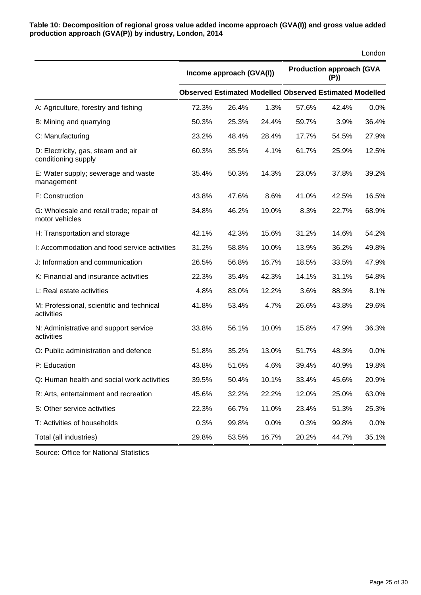**Table 10: Decomposition of regional gross value added income approach (GVA(I)) and gross value added production approach (GVA(P)) by industry, London, 2014**

|                                                            |                          |                                                                |       |                                         |       | London |  |
|------------------------------------------------------------|--------------------------|----------------------------------------------------------------|-------|-----------------------------------------|-------|--------|--|
|                                                            | Income approach (GVA(I)) |                                                                |       | <b>Production approach (GVA</b><br>(P)) |       |        |  |
|                                                            |                          | <b>Observed Estimated Modelled Observed Estimated Modelled</b> |       |                                         |       |        |  |
| A: Agriculture, forestry and fishing                       | 72.3%                    | 26.4%                                                          | 1.3%  | 57.6%                                   | 42.4% | 0.0%   |  |
| B: Mining and quarrying                                    | 50.3%                    | 25.3%                                                          | 24.4% | 59.7%                                   | 3.9%  | 36.4%  |  |
| C: Manufacturing                                           | 23.2%                    | 48.4%                                                          | 28.4% | 17.7%                                   | 54.5% | 27.9%  |  |
| D: Electricity, gas, steam and air<br>conditioning supply  | 60.3%                    | 35.5%                                                          | 4.1%  | 61.7%                                   | 25.9% | 12.5%  |  |
| E: Water supply; sewerage and waste<br>management          | 35.4%                    | 50.3%                                                          | 14.3% | 23.0%                                   | 37.8% | 39.2%  |  |
| F: Construction                                            | 43.8%                    | 47.6%                                                          | 8.6%  | 41.0%                                   | 42.5% | 16.5%  |  |
| G: Wholesale and retail trade; repair of<br>motor vehicles | 34.8%                    | 46.2%                                                          | 19.0% | 8.3%                                    | 22.7% | 68.9%  |  |
| H: Transportation and storage                              | 42.1%                    | 42.3%                                                          | 15.6% | 31.2%                                   | 14.6% | 54.2%  |  |
| I: Accommodation and food service activities               | 31.2%                    | 58.8%                                                          | 10.0% | 13.9%                                   | 36.2% | 49.8%  |  |
| J: Information and communication                           | 26.5%                    | 56.8%                                                          | 16.7% | 18.5%                                   | 33.5% | 47.9%  |  |
| K: Financial and insurance activities                      | 22.3%                    | 35.4%                                                          | 42.3% | 14.1%                                   | 31.1% | 54.8%  |  |
| L: Real estate activities                                  | 4.8%                     | 83.0%                                                          | 12.2% | 3.6%                                    | 88.3% | 8.1%   |  |
| M: Professional, scientific and technical<br>activities    | 41.8%                    | 53.4%                                                          | 4.7%  | 26.6%                                   | 43.8% | 29.6%  |  |
| N: Administrative and support service<br>activities        | 33.8%                    | 56.1%                                                          | 10.0% | 15.8%                                   | 47.9% | 36.3%  |  |
| O: Public administration and defence                       | 51.8%                    | 35.2%                                                          | 13.0% | 51.7%                                   | 48.3% | 0.0%   |  |
| P: Education                                               | 43.8%                    | 51.6%                                                          | 4.6%  | 39.4%                                   | 40.9% | 19.8%  |  |
| Q: Human health and social work activities                 | 39.5%                    | 50.4%                                                          | 10.1% | 33.4%                                   | 45.6% | 20.9%  |  |
| R: Arts, entertainment and recreation                      | 45.6%                    | 32.2%                                                          | 22.2% | 12.0%                                   | 25.0% | 63.0%  |  |
| S: Other service activities                                | 22.3%                    | 66.7%                                                          | 11.0% | 23.4%                                   | 51.3% | 25.3%  |  |
| T: Activities of households                                | 0.3%                     | 99.8%                                                          | 0.0%  | 0.3%                                    | 99.8% | 0.0%   |  |
| Total (all industries)                                     | 29.8%                    | 53.5%                                                          | 16.7% | 20.2%                                   | 44.7% | 35.1%  |  |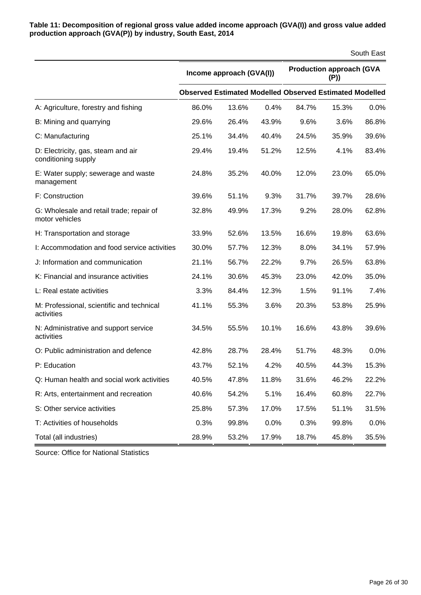**Table 11: Decomposition of regional gross value added income approach (GVA(I)) and gross value added production approach (GVA(P)) by industry, South East, 2014**

|                                                            |                          |                                                                |       |                                         |       | South East |
|------------------------------------------------------------|--------------------------|----------------------------------------------------------------|-------|-----------------------------------------|-------|------------|
|                                                            | Income approach (GVA(I)) |                                                                |       | <b>Production approach (GVA</b><br>(P)) |       |            |
|                                                            |                          | <b>Observed Estimated Modelled Observed Estimated Modelled</b> |       |                                         |       |            |
| A: Agriculture, forestry and fishing                       | 86.0%                    | 13.6%                                                          | 0.4%  | 84.7%                                   | 15.3% | 0.0%       |
| B: Mining and quarrying                                    | 29.6%                    | 26.4%                                                          | 43.9% | 9.6%                                    | 3.6%  | 86.8%      |
| C: Manufacturing                                           | 25.1%                    | 34.4%                                                          | 40.4% | 24.5%                                   | 35.9% | 39.6%      |
| D: Electricity, gas, steam and air<br>conditioning supply  | 29.4%                    | 19.4%                                                          | 51.2% | 12.5%                                   | 4.1%  | 83.4%      |
| E: Water supply; sewerage and waste<br>management          | 24.8%                    | 35.2%                                                          | 40.0% | 12.0%                                   | 23.0% | 65.0%      |
| F: Construction                                            | 39.6%                    | 51.1%                                                          | 9.3%  | 31.7%                                   | 39.7% | 28.6%      |
| G: Wholesale and retail trade; repair of<br>motor vehicles | 32.8%                    | 49.9%                                                          | 17.3% | 9.2%                                    | 28.0% | 62.8%      |
| H: Transportation and storage                              | 33.9%                    | 52.6%                                                          | 13.5% | 16.6%                                   | 19.8% | 63.6%      |
| I: Accommodation and food service activities               | 30.0%                    | 57.7%                                                          | 12.3% | 8.0%                                    | 34.1% | 57.9%      |
| J: Information and communication                           | 21.1%                    | 56.7%                                                          | 22.2% | 9.7%                                    | 26.5% | 63.8%      |
| K: Financial and insurance activities                      | 24.1%                    | 30.6%                                                          | 45.3% | 23.0%                                   | 42.0% | 35.0%      |
| L: Real estate activities                                  | 3.3%                     | 84.4%                                                          | 12.3% | 1.5%                                    | 91.1% | 7.4%       |
| M: Professional, scientific and technical<br>activities    | 41.1%                    | 55.3%                                                          | 3.6%  | 20.3%                                   | 53.8% | 25.9%      |
| N: Administrative and support service<br>activities        | 34.5%                    | 55.5%                                                          | 10.1% | 16.6%                                   | 43.8% | 39.6%      |
| O: Public administration and defence                       | 42.8%                    | 28.7%                                                          | 28.4% | 51.7%                                   | 48.3% | 0.0%       |
| P: Education                                               | 43.7%                    | 52.1%                                                          | 4.2%  | 40.5%                                   | 44.3% | 15.3%      |
| Q: Human health and social work activities                 | 40.5%                    | 47.8%                                                          | 11.8% | 31.6%                                   | 46.2% | 22.2%      |
| R: Arts, entertainment and recreation                      | 40.6%                    | 54.2%                                                          | 5.1%  | 16.4%                                   | 60.8% | 22.7%      |
| S: Other service activities                                | 25.8%                    | 57.3%                                                          | 17.0% | 17.5%                                   | 51.1% | 31.5%      |
| T: Activities of households                                | 0.3%                     | 99.8%                                                          | 0.0%  | 0.3%                                    | 99.8% | 0.0%       |
| Total (all industries)                                     | 28.9%                    | 53.2%                                                          | 17.9% | 18.7%                                   | 45.8% | 35.5%      |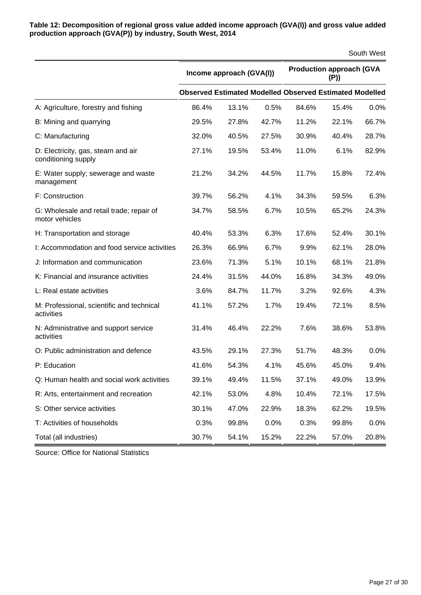**Table 12: Decomposition of regional gross value added income approach (GVA(I)) and gross value added production approach (GVA(P)) by industry, South West, 2014**

|                                                            |                          |                                                                |       |                                        |       | South West |
|------------------------------------------------------------|--------------------------|----------------------------------------------------------------|-------|----------------------------------------|-------|------------|
|                                                            | Income approach (GVA(I)) |                                                                |       | <b>Production approach (GVA</b><br>(P) |       |            |
|                                                            |                          | <b>Observed Estimated Modelled Observed Estimated Modelled</b> |       |                                        |       |            |
| A: Agriculture, forestry and fishing                       | 86.4%                    | 13.1%                                                          | 0.5%  | 84.6%                                  | 15.4% | 0.0%       |
| B: Mining and quarrying                                    | 29.5%                    | 27.8%                                                          | 42.7% | 11.2%                                  | 22.1% | 66.7%      |
| C: Manufacturing                                           | 32.0%                    | 40.5%                                                          | 27.5% | 30.9%                                  | 40.4% | 28.7%      |
| D: Electricity, gas, steam and air<br>conditioning supply  | 27.1%                    | 19.5%                                                          | 53.4% | 11.0%                                  | 6.1%  | 82.9%      |
| E: Water supply; sewerage and waste<br>management          | 21.2%                    | 34.2%                                                          | 44.5% | 11.7%                                  | 15.8% | 72.4%      |
| F: Construction                                            | 39.7%                    | 56.2%                                                          | 4.1%  | 34.3%                                  | 59.5% | 6.3%       |
| G: Wholesale and retail trade; repair of<br>motor vehicles | 34.7%                    | 58.5%                                                          | 6.7%  | 10.5%                                  | 65.2% | 24.3%      |
| H: Transportation and storage                              | 40.4%                    | 53.3%                                                          | 6.3%  | 17.6%                                  | 52.4% | 30.1%      |
| I: Accommodation and food service activities               | 26.3%                    | 66.9%                                                          | 6.7%  | 9.9%                                   | 62.1% | 28.0%      |
| J: Information and communication                           | 23.6%                    | 71.3%                                                          | 5.1%  | 10.1%                                  | 68.1% | 21.8%      |
| K: Financial and insurance activities                      | 24.4%                    | 31.5%                                                          | 44.0% | 16.8%                                  | 34.3% | 49.0%      |
| L: Real estate activities                                  | 3.6%                     | 84.7%                                                          | 11.7% | 3.2%                                   | 92.6% | 4.3%       |
| M: Professional, scientific and technical<br>activities    | 41.1%                    | 57.2%                                                          | 1.7%  | 19.4%                                  | 72.1% | 8.5%       |
| N: Administrative and support service<br>activities        | 31.4%                    | 46.4%                                                          | 22.2% | 7.6%                                   | 38.6% | 53.8%      |
| O: Public administration and defence                       | 43.5%                    | 29.1%                                                          | 27.3% | 51.7%                                  | 48.3% | 0.0%       |
| P: Education                                               | 41.6%                    | 54.3%                                                          | 4.1%  | 45.6%                                  | 45.0% | 9.4%       |
| Q: Human health and social work activities                 | 39.1%                    | 49.4%                                                          | 11.5% | 37.1%                                  | 49.0% | 13.9%      |
| R: Arts, entertainment and recreation                      | 42.1%                    | 53.0%                                                          | 4.8%  | 10.4%                                  | 72.1% | 17.5%      |
| S: Other service activities                                | 30.1%                    | 47.0%                                                          | 22.9% | 18.3%                                  | 62.2% | 19.5%      |
| T: Activities of households                                | 0.3%                     | 99.8%                                                          | 0.0%  | 0.3%                                   | 99.8% | 0.0%       |
| Total (all industries)                                     | 30.7%                    | 54.1%                                                          | 15.2% | 22.2%                                  | 57.0% | 20.8%      |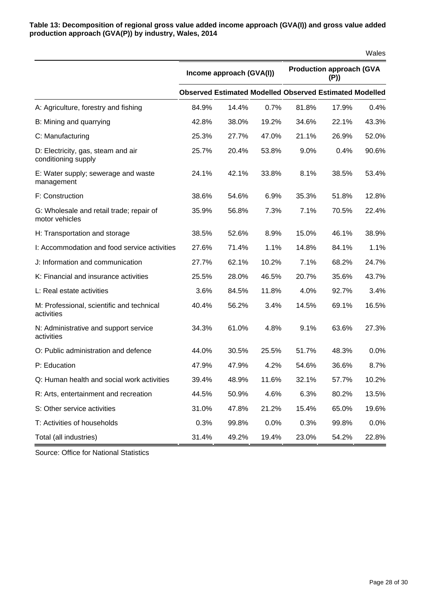**Table 13: Decomposition of regional gross value added income approach (GVA(I)) and gross value added production approach (GVA(P)) by industry, Wales, 2014**

|                                                            |                          |                                                                |       |                                         |       | Wales |  |
|------------------------------------------------------------|--------------------------|----------------------------------------------------------------|-------|-----------------------------------------|-------|-------|--|
|                                                            | Income approach (GVA(I)) |                                                                |       | <b>Production approach (GVA</b><br>(P)) |       |       |  |
|                                                            |                          | <b>Observed Estimated Modelled Observed Estimated Modelled</b> |       |                                         |       |       |  |
| A: Agriculture, forestry and fishing                       | 84.9%                    | 14.4%                                                          | 0.7%  | 81.8%                                   | 17.9% | 0.4%  |  |
| B: Mining and quarrying                                    | 42.8%                    | 38.0%                                                          | 19.2% | 34.6%                                   | 22.1% | 43.3% |  |
| C: Manufacturing                                           | 25.3%                    | 27.7%                                                          | 47.0% | 21.1%                                   | 26.9% | 52.0% |  |
| D: Electricity, gas, steam and air<br>conditioning supply  | 25.7%                    | 20.4%                                                          | 53.8% | 9.0%                                    | 0.4%  | 90.6% |  |
| E: Water supply; sewerage and waste<br>management          | 24.1%                    | 42.1%                                                          | 33.8% | 8.1%                                    | 38.5% | 53.4% |  |
| F: Construction                                            | 38.6%                    | 54.6%                                                          | 6.9%  | 35.3%                                   | 51.8% | 12.8% |  |
| G: Wholesale and retail trade; repair of<br>motor vehicles | 35.9%                    | 56.8%                                                          | 7.3%  | 7.1%                                    | 70.5% | 22.4% |  |
| H: Transportation and storage                              | 38.5%                    | 52.6%                                                          | 8.9%  | 15.0%                                   | 46.1% | 38.9% |  |
| I: Accommodation and food service activities               | 27.6%                    | 71.4%                                                          | 1.1%  | 14.8%                                   | 84.1% | 1.1%  |  |
| J: Information and communication                           | 27.7%                    | 62.1%                                                          | 10.2% | 7.1%                                    | 68.2% | 24.7% |  |
| K: Financial and insurance activities                      | 25.5%                    | 28.0%                                                          | 46.5% | 20.7%                                   | 35.6% | 43.7% |  |
| L: Real estate activities                                  | 3.6%                     | 84.5%                                                          | 11.8% | 4.0%                                    | 92.7% | 3.4%  |  |
| M: Professional, scientific and technical<br>activities    | 40.4%                    | 56.2%                                                          | 3.4%  | 14.5%                                   | 69.1% | 16.5% |  |
| N: Administrative and support service<br>activities        | 34.3%                    | 61.0%                                                          | 4.8%  | 9.1%                                    | 63.6% | 27.3% |  |
| O: Public administration and defence                       | 44.0%                    | 30.5%                                                          | 25.5% | 51.7%                                   | 48.3% | 0.0%  |  |
| P: Education                                               | 47.9%                    | 47.9%                                                          | 4.2%  | 54.6%                                   | 36.6% | 8.7%  |  |
| Q: Human health and social work activities                 | 39.4%                    | 48.9%                                                          | 11.6% | 32.1%                                   | 57.7% | 10.2% |  |
| R: Arts, entertainment and recreation                      | 44.5%                    | 50.9%                                                          | 4.6%  | 6.3%                                    | 80.2% | 13.5% |  |
| S: Other service activities                                | 31.0%                    | 47.8%                                                          | 21.2% | 15.4%                                   | 65.0% | 19.6% |  |
| T: Activities of households                                | 0.3%                     | 99.8%                                                          | 0.0%  | 0.3%                                    | 99.8% | 0.0%  |  |
| Total (all industries)                                     | 31.4%                    | 49.2%                                                          | 19.4% | 23.0%                                   | 54.2% | 22.8% |  |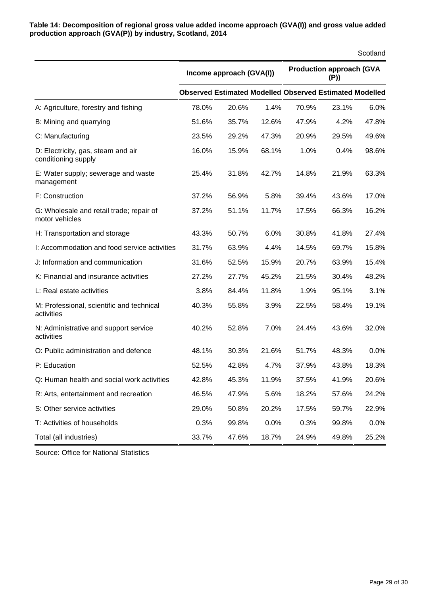**Table 14: Decomposition of regional gross value added income approach (GVA(I)) and gross value added production approach (GVA(P)) by industry, Scotland, 2014**

|                                                            |                          |                                                                |       |                                         |       | Scotland |  |
|------------------------------------------------------------|--------------------------|----------------------------------------------------------------|-------|-----------------------------------------|-------|----------|--|
|                                                            | Income approach (GVA(I)) |                                                                |       | <b>Production approach (GVA</b><br>(P)) |       |          |  |
|                                                            |                          | <b>Observed Estimated Modelled Observed Estimated Modelled</b> |       |                                         |       |          |  |
| A: Agriculture, forestry and fishing                       | 78.0%                    | 20.6%                                                          | 1.4%  | 70.9%                                   | 23.1% | 6.0%     |  |
| B: Mining and quarrying                                    | 51.6%                    | 35.7%                                                          | 12.6% | 47.9%                                   | 4.2%  | 47.8%    |  |
| C: Manufacturing                                           | 23.5%                    | 29.2%                                                          | 47.3% | 20.9%                                   | 29.5% | 49.6%    |  |
| D: Electricity, gas, steam and air<br>conditioning supply  | 16.0%                    | 15.9%                                                          | 68.1% | 1.0%                                    | 0.4%  | 98.6%    |  |
| E: Water supply; sewerage and waste<br>management          | 25.4%                    | 31.8%                                                          | 42.7% | 14.8%                                   | 21.9% | 63.3%    |  |
| F: Construction                                            | 37.2%                    | 56.9%                                                          | 5.8%  | 39.4%                                   | 43.6% | 17.0%    |  |
| G: Wholesale and retail trade; repair of<br>motor vehicles | 37.2%                    | 51.1%                                                          | 11.7% | 17.5%                                   | 66.3% | 16.2%    |  |
| H: Transportation and storage                              | 43.3%                    | 50.7%                                                          | 6.0%  | 30.8%                                   | 41.8% | 27.4%    |  |
| I: Accommodation and food service activities               | 31.7%                    | 63.9%                                                          | 4.4%  | 14.5%                                   | 69.7% | 15.8%    |  |
| J: Information and communication                           | 31.6%                    | 52.5%                                                          | 15.9% | 20.7%                                   | 63.9% | 15.4%    |  |
| K: Financial and insurance activities                      | 27.2%                    | 27.7%                                                          | 45.2% | 21.5%                                   | 30.4% | 48.2%    |  |
| L: Real estate activities                                  | 3.8%                     | 84.4%                                                          | 11.8% | 1.9%                                    | 95.1% | 3.1%     |  |
| M: Professional, scientific and technical<br>activities    | 40.3%                    | 55.8%                                                          | 3.9%  | 22.5%                                   | 58.4% | 19.1%    |  |
| N: Administrative and support service<br>activities        | 40.2%                    | 52.8%                                                          | 7.0%  | 24.4%                                   | 43.6% | 32.0%    |  |
| O: Public administration and defence                       | 48.1%                    | 30.3%                                                          | 21.6% | 51.7%                                   | 48.3% | 0.0%     |  |
| P: Education                                               | 52.5%                    | 42.8%                                                          | 4.7%  | 37.9%                                   | 43.8% | 18.3%    |  |
| Q: Human health and social work activities                 | 42.8%                    | 45.3%                                                          | 11.9% | 37.5%                                   | 41.9% | 20.6%    |  |
| R: Arts, entertainment and recreation                      | 46.5%                    | 47.9%                                                          | 5.6%  | 18.2%                                   | 57.6% | 24.2%    |  |
| S: Other service activities                                | 29.0%                    | 50.8%                                                          | 20.2% | 17.5%                                   | 59.7% | 22.9%    |  |
| T: Activities of households                                | 0.3%                     | 99.8%                                                          | 0.0%  | 0.3%                                    | 99.8% | 0.0%     |  |
| Total (all industries)                                     | 33.7%                    | 47.6%                                                          | 18.7% | 24.9%                                   | 49.8% | 25.2%    |  |